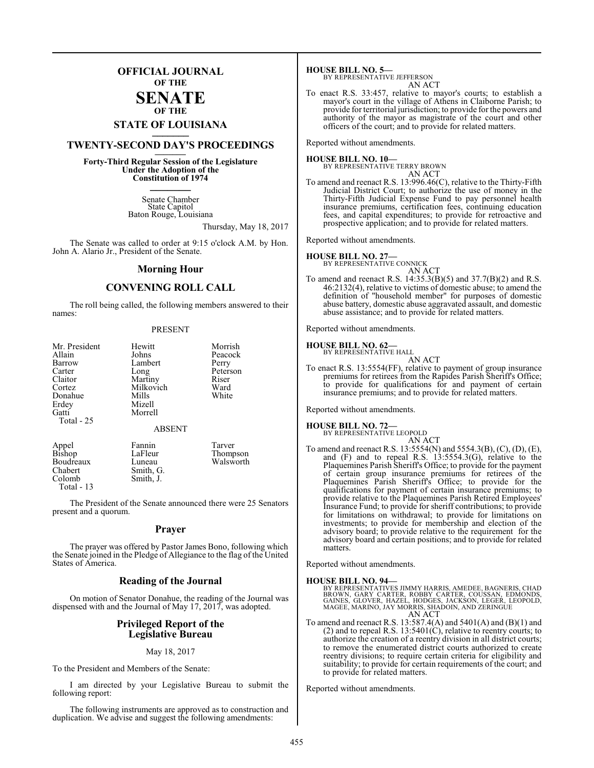## **OFFICIAL JOURNAL OF THE**

#### **SENATE OF THE**

# **STATE OF LOUISIANA \_\_\_\_\_\_\_**

# **TWENTY-SECOND DAY'S PROCEEDINGS \_\_\_\_\_\_\_**

**Forty-Third Regular Session of the Legislature Under the Adoption of the Constitution of 1974 \_\_\_\_\_\_\_**

> Senate Chamber State Capitol Baton Rouge, Louisiana

> > Thursday, May 18, 2017

The Senate was called to order at 9:15 o'clock A.M. by Hon. John A. Alario Jr., President of the Senate.

#### **Morning Hour**

#### **CONVENING ROLL CALL**

The roll being called, the following members answered to their names:

#### PRESENT

| Mr. President<br>Allain<br>Barrow<br>Carter<br>Claitor<br>Cortez<br>Donahue<br>Erdey<br>Gatti<br>Total $-25$ | Hewitt<br>Johns<br>Lambert<br>Long<br>Martiny<br>Milkovich<br>Mills<br>Mizell<br>Morrell | Morrish<br>Peacock<br>Perry<br>Peterson<br>Riser<br>Ward<br>White |
|--------------------------------------------------------------------------------------------------------------|------------------------------------------------------------------------------------------|-------------------------------------------------------------------|
|                                                                                                              | <b>ABSENT</b>                                                                            |                                                                   |

Appel Fannin Tarver<br>Bishop LaFleur Thomp LaFleur Thompson<br>Luneau Walsworth Boudreaux<br>Chabert Chabert Smith, G.<br>Colomb Smith, J. Smith, J. Total - 13

The President of the Senate announced there were 25 Senators present and a quorum.

#### **Prayer**

The prayer was offered by Pastor James Bono, following which the Senate joined in the Pledge of Allegiance to the flag of the United States of America.

#### **Reading of the Journal**

On motion of Senator Donahue, the reading of the Journal was dispensed with and the Journal of May 17, 2017, was adopted.

#### **Privileged Report of the Legislative Bureau**

#### May 18, 2017

To the President and Members of the Senate:

I am directed by your Legislative Bureau to submit the following report:

The following instruments are approved as to construction and duplication. We advise and suggest the following amendments:

**HOUSE BILL NO. 5—** BY REPRESENTATIVE JEFFERSON AN ACT

To enact R.S. 33:457, relative to mayor's courts; to establish a mayor's court in the village of Athens in Claiborne Parish; to provide for territorial jurisdiction; to provide for the powers and authority of the mayor as magistrate of the court and other officers of the court; and to provide for related matters.

Reported without amendments.

**HOUSE BILL NO. 10—** BY REPRESENTATIVE TERRY BROWN AN ACT

To amend and reenact R.S. 13:996.46(C), relative to the Thirty-Fifth Judicial District Court; to authorize the use of money in the Thirty-Fifth Judicial Expense Fund to pay personnel health insurance premiums, certification fees, continuing education fees, and capital expenditures; to provide for retroactive and prospective application; and to provide for related matters.

Reported without amendments.

#### **HOUSE BILL NO. 27—**

BY REPRESENTATIVE CONNICK

- AN ACT
- To amend and reenact R.S. 14:35.3(B)(5) and 37.7(B)(2) and R.S. 46:2132(4), relative to victims of domestic abuse; to amend the definition of "household member" for purposes of domestic abuse battery, domestic abuse aggravated assault, and domestic abuse assistance; and to provide for related matters.

Reported without amendments.

# **HOUSE BILL NO. 62—** BY REPRESENTATIVE HALL

AN ACT

To enact R.S. 13:5554(FF), relative to payment of group insurance premiums for retirees from the Rapides Parish Sheriff's Office; to provide for qualifications for and payment of certain insurance premiums; and to provide for related matters.

Reported without amendments.

# **HOUSE BILL NO. 72—** BY REPRESENTATIVE LEOPOLD

AN ACT

To amend and reenact R.S. 13:5554(N) and 5554.3(B), (C), (D), (E), and (F) and to repeal R.S. 13:5554.3(G), relative to the Plaquemines Parish Sheriff's Office; to provide for the payment of certain group insurance premiums for retirees of the Plaquemines Parish Sheriff's Office; to provide for the qualifications for payment of certain insurance premiums; to provide relative to the Plaquemines Parish Retired Employees' Insurance Fund; to provide for sheriff contributions; to provide for limitations on withdrawal; to provide for limitations on investments; to provide for membership and election of the advisory board; to provide relative to the requirement for the advisory board and certain positions; and to provide for related matters.

Reported without amendments.

#### **HOUSE BILL NO. 94—**

BY REPRESENTATIVES JIMMY HARRIS, AMEDEE, BAGNERIS, CHAD<br>BROWN, GARY CARTER, ROBBY CARTER, COUSSAN, EDMONDS,<br>GAINES, GLOVER, HAZEL, HODGES, JACKSON, LEGER, LEOPOLD,<br>MAGEE, MARINO, JAY MORRIS, SHADOIN, AND ZERINGUE AN ACT

To amend and reenact R.S. 13:587.4(A) and 5401(A) and (B)(1) and  $(2)$  and to repeal R.S. 13:5401 $(C)$ , relative to reentry courts; to authorize the creation of a reentry division in all district courts; to remove the enumerated district courts authorized to create reentry divisions; to require certain criteria for eligibility and suitability; to provide for certain requirements of the court; and to provide for related matters.

Reported without amendments.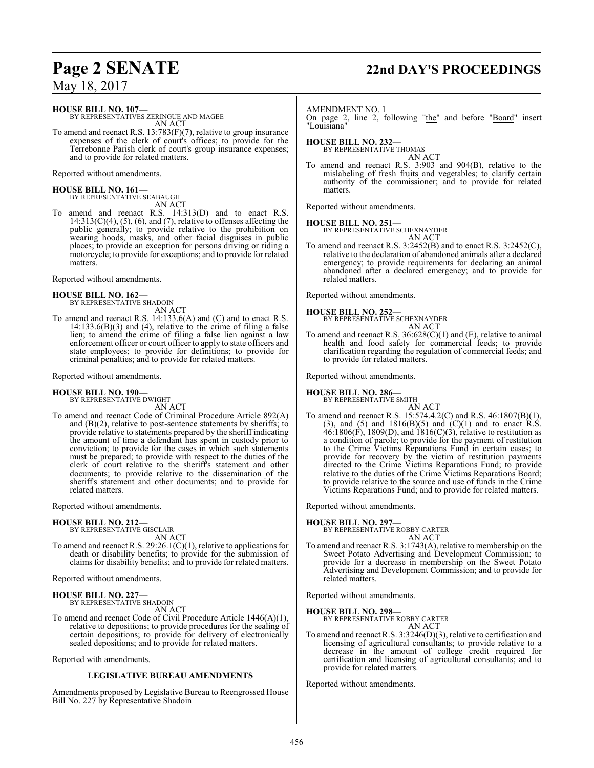# **Page 2 SENATE 22nd DAY'S PROCEEDINGS**

May 18, 2017

**HOUSE BILL NO. 107—**

BY REPRESENTATIVES ZERINGUE AND MAGEE AN ACT

To amend and reenact R.S. 13:783(F)(7), relative to group insurance expenses of the clerk of court's offices; to provide for the Terrebonne Parish clerk of court's group insurance expenses; and to provide for related matters.

Reported without amendments.

**HOUSE BILL NO. 161—** BY REPRESENTATIVE SEABAUGH AN ACT

To amend and reenact R.S. 14:313(D) and to enact R.S.  $14:313(C)(4)$ ,  $(5)$ ,  $(6)$ , and  $(7)$ , relative to offenses affecting the public generally; to provide relative to the prohibition on wearing hoods, masks, and other facial disguises in public places; to provide an exception for persons driving or riding a motorcycle; to provide for exceptions; and to provide for related matters.

Reported without amendments.

# **HOUSE BILL NO. 162—** BY REPRESENTATIVE SHADOIN

AN ACT

To amend and reenact R.S. 14:133.6(A) and (C) and to enact R.S.  $14:133.6(B)(3)$  and (4), relative to the crime of filing a false lien; to amend the crime of filing a false lien against a law enforcement officer or court officer to apply to state officers and state employees; to provide for definitions; to provide for criminal penalties; and to provide for related matters.

#### Reported without amendments.

# **HOUSE BILL NO. 190—** BY REPRESENTATIVE DWIGHT

AN ACT

To amend and reenact Code of Criminal Procedure Article 892(A) and  $(B)(2)$ , relative to post-sentence statements by sheriffs; to provide relative to statements prepared by the sheriff indicating the amount of time a defendant has spent in custody prior to conviction; to provide for the cases in which such statements must be prepared; to provide with respect to the duties of the clerk of court relative to the sheriff's statement and other documents; to provide relative to the dissemination of the sheriff's statement and other documents; and to provide for related matters.

Reported without amendments.

#### **HOUSE BILL NO. 212—**

BY REPRESENTATIVE GISCLAIR AN ACT

To amend and reenact R.S. 29:26.1(C)(1), relative to applications for death or disability benefits; to provide for the submission of claims for disability benefits; and to provide for related matters.

Reported without amendments.

#### **HOUSE BILL NO. 227—**

BY REPRESENTATIVE SHADOIN AN ACT

To amend and reenact Code of Civil Procedure Article 1446(A)(1), relative to depositions; to provide procedures for the sealing of certain depositions; to provide for delivery of electronically sealed depositions; and to provide for related matters.

Reported with amendments.

#### **LEGISLATIVE BUREAU AMENDMENTS**

Amendments proposed by Legislative Bureau to Reengrossed House Bill No. 227 by Representative Shadoin

#### AMENDMENT NO. 1

On page 2, line 2, following "the" and before "Board" insert "Louisiana"

**HOUSE BILL NO. 232—** BY REPRESENTATIVE THOMAS

AN ACT To amend and reenact R.S. 3:903 and 904(B), relative to the mislabeling of fresh fruits and vegetables; to clarify certain authority of the commissioner; and to provide for related matters<sup>1</sup>

Reported without amendments.

#### **HOUSE BILL NO. 251—**

BY REPRESENTATIVE SCHEXNAYDER AN ACT

To amend and reenact R.S. 3:2452(B) and to enact R.S. 3:2452(C), relative to the declaration of abandoned animals after a declared emergency; to provide requirements for declaring an animal abandoned after a declared emergency; and to provide for related matters.

Reported without amendments.

#### **HOUSE BILL NO. 252—**

BY REPRESENTATIVE SCHEXNAYDER AN ACT

To amend and reenact R.S. 36:628(C)(1) and (E), relative to animal health and food safety for commercial feeds; to provide clarification regarding the regulation of commercial feeds; and to provide for related matters.

Reported without amendments.

# **HOUSE BILL NO. 286—** BY REPRESENTATIVE SMITH

AN ACT To amend and reenact R.S. 15:574.4.2(C) and R.S. 46:1807(B)(1), (3), and (5) and  $1816(B)(5)$  and  $(C)(1)$  and to enact R.S.  $46:1806(F)$ , 1809(D), and  $1816(C)(3)$ , relative to restitution as a condition of parole; to provide for the payment of restitution to the Crime Victims Reparations Fund in certain cases; to provide for recovery by the victim of restitution payments directed to the Crime Victims Reparations Fund; to provide relative to the duties of the Crime Victims Reparations Board; to provide relative to the source and use of funds in the Crime Victims Reparations Fund; and to provide for related matters.

Reported without amendments.

**HOUSE BILL NO. 297—** BY REPRESENTATIVE ROBBY CARTER AN ACT

To amend and reenact R.S. 3:1743(A), relative to membership on the Sweet Potato Advertising and Development Commission; to provide for a decrease in membership on the Sweet Potato Advertising and Development Commission; and to provide for related matters.

Reported without amendments.

**HOUSE BILL NO. 298—**

BY REPRESENTATIVE ROBBY CARTER AN ACT

To amend and reenact R.S. 3:3246(D)(3), relative to certification and licensing of agricultural consultants; to provide relative to a decrease in the amount of college credit required for certification and licensing of agricultural consultants; and to provide for related matters.

Reported without amendments.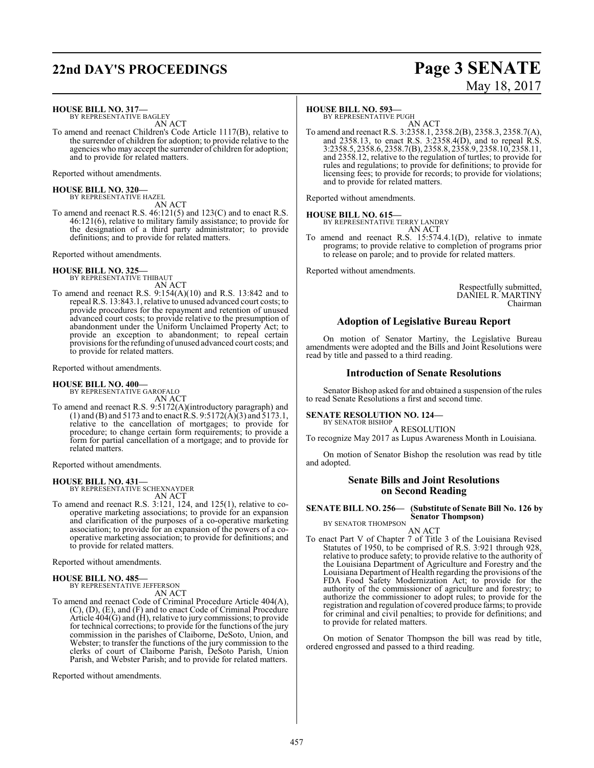# **22nd DAY'S PROCEEDINGS Page 3 SENATE**

# May 18, 2017

**HOUSE BILL NO. 317—**

BY REPRESENTATIVE BAGLEY AN ACT

To amend and reenact Children's Code Article 1117(B), relative to the surrender of children for adoption; to provide relative to the agencies who may accept the surrender of children for adoption; and to provide for related matters.

Reported without amendments.

**HOUSE BILL NO. 320—** BY REPRESENTATIVE HAZEL

AN ACT To amend and reenact R.S. 46:121(5) and 123(C) and to enact R.S. 46:121(6), relative to military family assistance; to provide for the designation of a third party administrator; to provide definitions; and to provide for related matters.

Reported without amendments.

**HOUSE BILL NO. 325—** BY REPRESENTATIVE THIBAUT AN ACT

To amend and reenact R.S. 9:154(A)(10) and R.S. 13:842 and to repeal R.S. 13:843.1, relative to unused advanced court costs; to provide procedures for the repayment and retention of unused advanced court costs; to provide relative to the presumption of abandonment under the Uniform Unclaimed Property Act; to provide an exception to abandonment; to repeal certain provisions for the refunding of unused advanced court costs; and to provide for related matters.

Reported without amendments.

#### **HOUSE BILL NO. 400—**

BY REPRESENTATIVE GAROFALO AN ACT

To amend and reenact R.S. 9:5172(A)(introductory paragraph) and (1) and (B) and 5173 and to enact  $\hat{R}$ . S. 9:5172( $\hat{A}$ )(3) and 5173.1, relative to the cancellation of mortgages; to provide for procedure; to change certain form requirements; to provide a form for partial cancellation of a mortgage; and to provide for related matters.

Reported without amendments.

#### **HOUSE BILL NO. 431—**

BY REPRESENTATIVE SCHEXNAYDER AN ACT

To amend and reenact R.S. 3:121, 124, and 125(1), relative to cooperative marketing associations; to provide for an expansion and clarification of the purposes of a co-operative marketing association; to provide for an expansion of the powers of a cooperative marketing association; to provide for definitions; and to provide for related matters.

Reported without amendments.

#### **HOUSE BILL NO. 485—**

BY REPRESENTATIVE JEFFERSON AN ACT

To amend and reenact Code of Criminal Procedure Article 404(A), (C), (D), (E), and (F) and to enact Code of Criminal Procedure Article 404(G) and (H), relative to jury commissions; to provide for technical corrections; to provide for the functions of the jury commission in the parishes of Claiborne, DeSoto, Union, and Webster; to transfer the functions of the jury commission to the clerks of court of Claiborne Parish, DeSoto Parish, Union Parish, and Webster Parish; and to provide for related matters.

Reported without amendments.

#### **HOUSE BILL NO. 593—**

BY REPRESENTATIVE PUGH

AN ACT To amend and reenact R.S. 3:2358.1, 2358.2(B), 2358.3, 2358.7(A), and 2358.13, to enact R.S. 3:2358.4(D), and to repeal R.S. 3:2358.5, 2358.6, 2358.7(B), 2358.8, 2358.9, 2358.10, 2358.11, and 2358.12, relative to the regulation of turtles; to provide for rules and regulations; to provide for definitions; to provide for licensing fees; to provide for records; to provide for violations; and to provide for related matters.

Reported without amendments.

#### **HOUSE BILL NO. 615—**

BY REPRESENTATIVE TERRY LANDRY AN ACT

To amend and reenact R.S. 15:574.4.1(D), relative to inmate programs; to provide relative to completion of programs prior to release on parole; and to provide for related matters.

Reported without amendments.

Respectfully submitted, DANIEL R. MARTINY Chairman

#### **Adoption of Legislative Bureau Report**

On motion of Senator Martiny, the Legislative Bureau amendments were adopted and the Bills and Joint Resolutions were read by title and passed to a third reading.

#### **Introduction of Senate Resolutions**

Senator Bishop asked for and obtained a suspension of the rules to read Senate Resolutions a first and second time.

#### **SENATE RESOLUTION NO. 124—**

BY SENATOR BISHOP A RESOLUTION

To recognize May 2017 as Lupus Awareness Month in Louisiana.

On motion of Senator Bishop the resolution was read by title and adopted.

#### **Senate Bills and Joint Resolutions on Second Reading**

**SENATE BILL NO. 256— (Substitute of Senate Bill No. 126 by Senator Thompson)** BY SENATOR THOMPSON

AN ACT

To enact Part V of Chapter 7 of Title 3 of the Louisiana Revised Statutes of 1950, to be comprised of R.S. 3:921 through 928, relative to produce safety; to provide relative to the authority of the Louisiana Department of Agriculture and Forestry and the Louisiana Department of Health regarding the provisions of the FDA Food Safety Modernization Act; to provide for the authority of the commissioner of agriculture and forestry; to authorize the commissioner to adopt rules; to provide for the registration and regulation of covered produce farms; to provide for criminal and civil penalties; to provide for definitions; and to provide for related matters.

On motion of Senator Thompson the bill was read by title, ordered engrossed and passed to a third reading.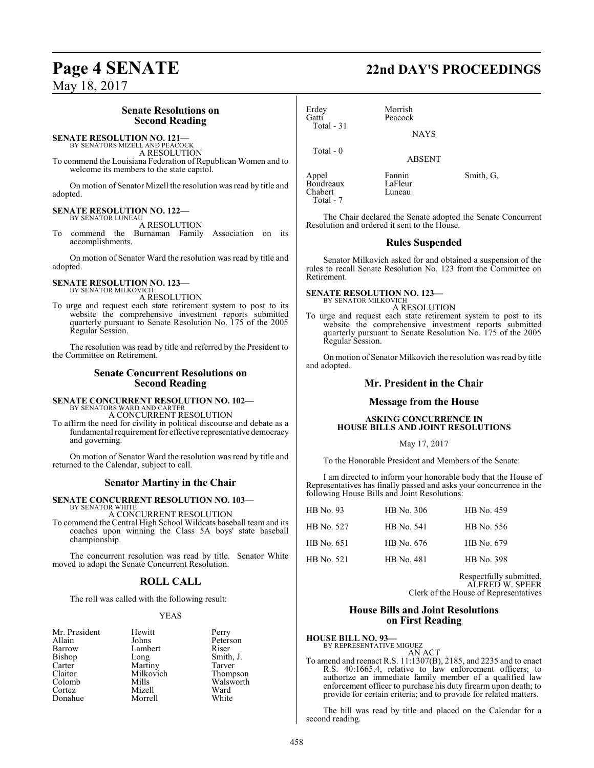### **Senate Resolutions on Second Reading**

#### **SENATE RESOLUTION NO. 121—** BY SENATORS MIZELL AND PEACOCK

A RESOLUTION

To commend the Louisiana Federation of Republican Women and to welcome its members to the state capitol.

On motion of Senator Mizell the resolution was read by title and adopted.

#### **SENATE RESOLUTION NO. 122—** BY SENATOR LUNEAU

A RESOLUTION

To commend the Burnaman Family Association on its accomplishments.

On motion of Senator Ward the resolution was read by title and adopted.

# **SENATE RESOLUTION NO. 123—** BY SENATOR MILKOVICH

A RESOLUTION

To urge and request each state retirement system to post to its website the comprehensive investment reports submitted quarterly pursuant to Senate Resolution No. 175 of the 2005 Regular Session.

The resolution was read by title and referred by the President to the Committee on Retirement.

#### **Senate Concurrent Resolutions on Second Reading**

# **SENATE CONCURRENT RESOLUTION NO. 102—** BY SENATORS WARD AND CARTER

A CONCURRENT RESOLUTION

To affirm the need for civility in political discourse and debate as a fundamental requirement for effective representative democracy and governing.

On motion of Senator Ward the resolution was read by title and returned to the Calendar, subject to call.

#### **Senator Martiny in the Chair**

#### **SENATE CONCURRENT RESOLUTION NO. 103—** BY SENATOR WHITE

A CONCURRENT RESOLUTION

To commend the Central High School Wildcats baseball team and its coaches upon winning the Class 5A boys' state baseball championship.

The concurrent resolution was read by title. Senator White moved to adopt the Senate Concurrent Resolution.

#### **ROLL CALL**

The roll was called with the following result:

#### YEAS

| Mr. President | Hewitt          | Perry     |
|---------------|-----------------|-----------|
| Allain        | Johns           | Peterson  |
| Barrow        | Lambert         | Riser     |
| <b>Bishop</b> |                 | Smith, J. |
| Carter        | Long<br>Martiny | Tarver    |
| Claitor       | Milkovich       | Thompson  |
| Colomb        | Mills           | Walsworth |
| Cortez        | Mizell          | Ward      |
| Donahue       | Morrell         | White     |

# **Page 4 SENATE 22nd DAY'S PROCEEDINGS**

Erdey Morrish Peacock Total - 31 Total - 0

ABSENT

Appel Fannin Smith, G.<br>Boudreaux LaFleur Boudreaux LaFleur<br>Chabert Luneau Chabert Total - 7

The Chair declared the Senate adopted the Senate Concurrent Resolution and ordered it sent to the House.

**NAYS** 

#### **Rules Suspended**

Senator Milkovich asked for and obtained a suspension of the rules to recall Senate Resolution No. 123 from the Committee on Retirement.

# **SENATE RESOLUTION NO. 123—** BY SENATOR MILKOVICH

A RESOLUTION

To urge and request each state retirement system to post to its website the comprehensive investment reports submitted quarterly pursuant to Senate Resolution No. 175 of the 2005 Regular Session.

On motion of Senator Milkovich the resolution was read by title and adopted.

#### **Mr. President in the Chair**

#### **Message from the House**

#### **ASKING CONCURRENCE IN HOUSE BILLS AND JOINT RESOLUTIONS**

#### May 17, 2017

To the Honorable President and Members of the Senate:

I am directed to inform your honorable body that the House of Representatives has finally passed and asks your concurrence in the following House Bills and Joint Resolutions:

| HB No. 93  | HB No. 306 | HB No. 459 |
|------------|------------|------------|
| HB No. 527 | HB No. 541 | HB No. 556 |
| HB No. 651 | HB No. 676 | HB No. 679 |
| HB No. 521 | HB No. 481 | HB No. 398 |
|            |            |            |

Respectfully submitted, ALFRED W. SPEER Clerk of the House of Representatives

#### **House Bills and Joint Resolutions on First Reading**

#### **HOUSE BILL NO. 93—** BY REPRESENTATIVE MIGUEZ AN ACT

To amend and reenact R.S. 11:1307(B), 2185, and 2235 and to enact R.S. 40:1665.4, relative to law enforcement officers; to authorize an immediate family member of a qualified law enforcement officer to purchase his duty firearm upon death; to provide for certain criteria; and to provide for related matters.

The bill was read by title and placed on the Calendar for a second reading.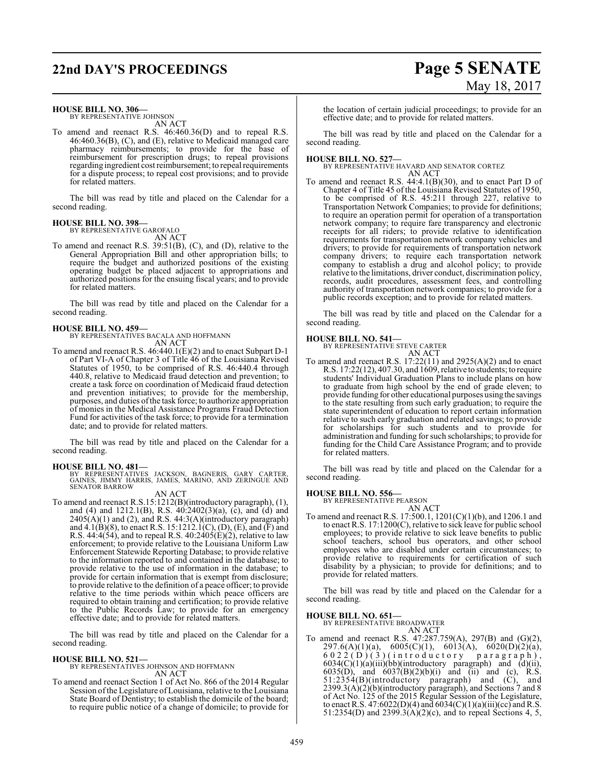# **22nd DAY'S PROCEEDINGS Page 5 SENATE**

# May 18, 2017

#### **HOUSE BILL NO. 306—**

BY REPRESENTATIVE JOHNSON AN ACT

To amend and reenact R.S. 46:460.36(D) and to repeal R.S. 46:460.36(B), (C), and (E), relative to Medicaid managed care pharmacy reimbursements; to provide for the base of reimbursement for prescription drugs; to repeal provisions regarding ingredient cost reimbursement; to repeal requirements for a dispute process; to repeal cost provisions; and to provide for related matters.

The bill was read by title and placed on the Calendar for a second reading.

## **HOUSE BILL NO. 398—**

BY REPRESENTATIVE GAROFALO AN ACT

To amend and reenact R.S. 39:51(B), (C), and (D), relative to the General Appropriation Bill and other appropriation bills; to require the budget and authorized positions of the existing operating budget be placed adjacent to appropriations and authorized positions for the ensuing fiscal years; and to provide for related matters.

The bill was read by title and placed on the Calendar for a second reading.

#### **HOUSE BILL NO. 459—**

BY REPRESENTATIVES BACALA AND HOFFMANN AN ACT

To amend and reenact R.S. 46:440.1(E)(2) and to enact Subpart D-1 of Part VI-A of Chapter 3 of Title 46 of the Louisiana Revised Statutes of 1950, to be comprised of R.S. 46:440.4 through 440.8, relative to Medicaid fraud detection and prevention; to create a task force on coordination of Medicaid fraud detection and prevention initiatives; to provide for the membership, purposes, and duties ofthe task force; to authorize appropriation of monies in the Medical Assistance Programs Fraud Detection Fund for activities of the task force; to provide for a termination date; and to provide for related matters.

The bill was read by title and placed on the Calendar for a second reading.

**HOUSE BILL NO. 481—**<br>BY REPRESENTATIVES JACKSON, BAGNERIS, GARY CARTER,<br>GAINES, JIMMY HARRIS, JAMES, MARINO, AND ZERINGUE AND<br>SENATOR BARROW

#### AN ACT

To amend and reenact R.S.15:1212(B)(introductory paragraph), (1), and (4) and 1212.1(B), R.S. 40:2402(3)(a), (c), and (d) and  $2405(A)(1)$  and (2), and R.S.  $44:3(A)(\text{introducing paragraph})$ and  $4.1(B)(8)$ , to enact R.S. 15:1212.1(C), (D), (E), and (F) and R.S. 44:4(54), and to repeal R.S.  $40:2405(E)(2)$ , relative to law enforcement; to provide relative to the Louisiana Uniform Law Enforcement Statewide Reporting Database; to provide relative to the information reported to and contained in the database; to provide relative to the use of information in the database; to provide for certain information that is exempt from disclosure; to provide relative to the definition of a peace officer; to provide relative to the time periods within which peace officers are required to obtain training and certification; to provide relative to the Public Records Law; to provide for an emergency effective date; and to provide for related matters.

The bill was read by title and placed on the Calendar for a second reading.

#### **HOUSE BILL NO. 521—**

BY REPRESENTATIVES JOHNSON AND HOFFMANN AN ACT

To amend and reenact Section 1 of Act No. 866 of the 2014 Regular Session of the Legislature of Louisiana, relative to the Louisiana State Board of Dentistry; to establish the domicile of the board; to require public notice of a change of domicile; to provide for

the location of certain judicial proceedings; to provide for an effective date; and to provide for related matters.

The bill was read by title and placed on the Calendar for a second reading.

## **HOUSE BILL NO. 527—** BY REPRESENTATIVE HAVARD AND SENATOR CORTEZ AN ACT

To amend and reenact R.S. 44:4.1(B)(30), and to enact Part D of Chapter 4 of Title 45 of the Louisiana Revised Statutes of 1950, to be comprised of R.S. 45:211 through 227, relative to Transportation Network Companies; to provide for definitions; to require an operation permit for operation of a transportation network company; to require fare transparency and electronic receipts for all riders; to provide relative to identification requirements for transportation network company vehicles and drivers; to provide for requirements of transportation network company drivers; to require each transportation network company to establish a drug and alcohol policy; to provide relative to the limitations, driver conduct, discrimination policy, records, audit procedures, assessment fees, and controlling authority of transportation network companies; to provide for a public records exception; and to provide for related matters.

The bill was read by title and placed on the Calendar for a second reading.

**HOUSE BILL NO. 541—** BY REPRESENTATIVE STEVE CARTER

AN ACT To amend and reenact R.S.  $17:22(11)$  and  $2925(A)(2)$  and to enact R.S. 17:22(12), 407.30, and 1609, relative to students; to require students' Individual Graduation Plans to include plans on how to graduate from high school by the end of grade eleven; to provide funding for other educational purposes using the savings to the state resulting from such early graduation; to require the state superintendent of education to report certain information relative to such early graduation and related savings; to provide for scholarships for such students and to provide for administration and funding for such scholarships; to provide for funding for the Child Care Assistance Program; and to provide for related matters.

The bill was read by title and placed on the Calendar for a second reading.

#### **HOUSE BILL NO. 556—**

BY REPRESENTATIVE PEARSON AN ACT

To amend and reenact R.S. 17:500.1, 1201(C)(1)(b), and 1206.1 and to enact R.S. 17:1200(C), relative to sick leave for public school employees; to provide relative to sick leave benefits to public school teachers, school bus operators, and other school employees who are disabled under certain circumstances; to provide relative to requirements for certification of such disability by a physician; to provide for definitions; and to provide for related matters.

The bill was read by title and placed on the Calendar for a second reading.

#### **HOUSE BILL NO. 651—**

BY REPRESENTATIVE BROADWATER

AN ACT To amend and reenact R.S. 47:287.759(A), 297(B) and (G)(2),  $297.6(A)(1)(a)$ ,  $6005(C)(1)$ ,  $6013(A)$ ,  $6020(D)(2)(a)$ ,  $6022$  (D) (3) (introductory paragraph),  $6034(C)(1)(a)(iii)(bb)(introductory paragraph)$  and  $(d)(ii)$ , 6035(D), and  $6037(B)(2)(b)(i)$  and (ii) and (c), R.S. 51:2354(B)(introductory paragraph) and (C), and 2399.3(A)(2)(b)(introductory paragraph), and Sections 7 and 8 of Act No. 125 of the 2015 Regular Session of the Legislature, to enact R.S.  $47:6022(D)(4)$  and  $6034(C)(1)(a)(iii)(cc)$  and R.S. 51:2354(D) and 2399.3(A)(2)(c), and to repeal Sections 4, 5,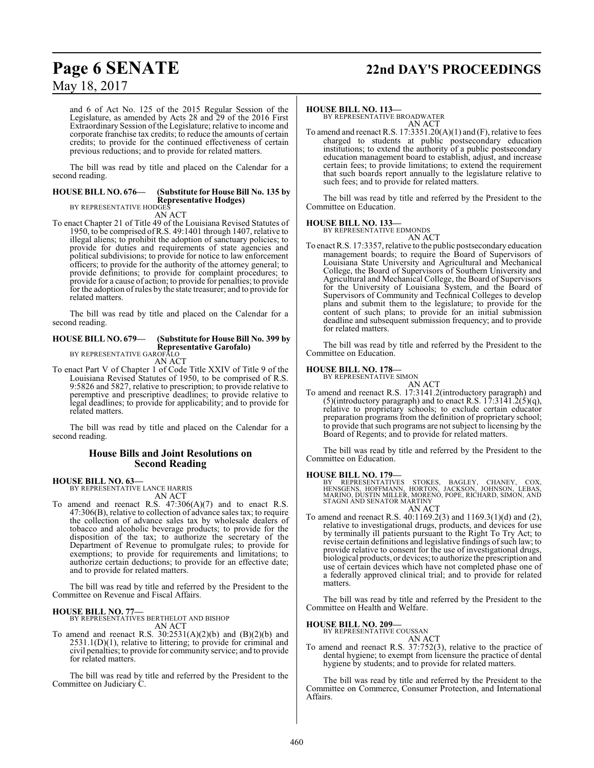# **Page 6 SENATE 22nd DAY'S PROCEEDINGS**

May 18, 2017

and 6 of Act No. 125 of the 2015 Regular Session of the Legislature, as amended by Acts 28 and 29 of the 2016 First Extraordinary Session of the Legislature; relative to income and corporate franchise tax credits; to reduce the amounts of certain credits; to provide for the continued effectiveness of certain previous reductions; and to provide for related matters.

The bill was read by title and placed on the Calendar for a second reading.

## **HOUSE BILL NO. 676— (Substitute for House Bill No. 135 by Representative Hodges)** BY REPRESENTATIVE HODGES

AN ACT

To enact Chapter 21 of Title 49 of the Louisiana Revised Statutes of 1950, to be comprised ofR.S. 49:1401 through 1407, relative to illegal aliens; to prohibit the adoption of sanctuary policies; to provide for duties and requirements of state agencies and political subdivisions; to provide for notice to law enforcement officers; to provide for the authority of the attorney general; to provide definitions; to provide for complaint procedures; to provide for a cause of action; to provide for penalties; to provide for the adoption ofrules by the state treasurer; and to provide for related matters.

The bill was read by title and placed on the Calendar for a second reading.

#### **HOUSE BILL NO. 679— (Substitute for House Bill No. 399 by Representative Garofalo)** BY REPRESENTATIVE GAROFALO

AN ACT

To enact Part V of Chapter 1 of Code Title XXIV of Title 9 of the Louisiana Revised Statutes of 1950, to be comprised of R.S. 9:5826 and 5827, relative to prescription; to provide relative to peremptive and prescriptive deadlines; to provide relative to legal deadlines; to provide for applicability; and to provide for related matters.

The bill was read by title and placed on the Calendar for a second reading.

#### **House Bills and Joint Resolutions on Second Reading**

#### **HOUSE BILL NO. 63—**

BY REPRESENTATIVE LANCE HARRIS AN ACT

To amend and reenact R.S.  $47:306(A)(7)$  and to enact R.S. 47:306(B), relative to collection of advance sales tax; to require the collection of advance sales tax by wholesale dealers of tobacco and alcoholic beverage products; to provide for the disposition of the tax; to authorize the secretary of the Department of Revenue to promulgate rules; to provide for exemptions; to provide for requirements and limitations; to authorize certain deductions; to provide for an effective date; and to provide for related matters.

The bill was read by title and referred by the President to the Committee on Revenue and Fiscal Affairs.

#### **HOUSE BILL NO. 77—**

BY REPRESENTATIVES BERTHELOT AND BISHOP AN ACT

To amend and reenact R.S.  $30:2531(A)(2)(b)$  and  $(B)(2)(b)$  and 2531.1(D)(1), relative to littering; to provide for criminal and civil penalties; to provide for community service; and to provide for related matters.

The bill was read by title and referred by the President to the Committee on Judiciary C.

#### **HOUSE BILL NO. 113—**

BY REPRESENTATIVE BROADWATER AN ACT

To amend and reenact R.S.  $17:3351.20(A)(1)$  and  $(F)$ , relative to fees charged to students at public postsecondary education institutions; to extend the authority of a public postsecondary education management board to establish, adjust, and increase certain fees; to provide limitations; to extend the requirement that such boards report annually to the legislature relative to such fees; and to provide for related matters.

The bill was read by title and referred by the President to the Committee on Education.

#### **HOUSE BILL NO. 133—**

BY REPRESENTATIVE EDMONDS

AN ACT To enact R.S. 17:3357, relative to the public postsecondaryeducation management boards; to require the Board of Supervisors of Louisiana State University and Agricultural and Mechanical College, the Board of Supervisors of Southern University and Agricultural and Mechanical College, the Board of Supervisors for the University of Louisiana System, and the Board of Supervisors of Community and Technical Colleges to develop plans and submit them to the legislature; to provide for the

content of such plans; to provide for an initial submission deadline and subsequent submission frequency; and to provide

The bill was read by title and referred by the President to the Committee on Education.

#### **HOUSE BILL NO. 178—**

for related matters.

BY REPRESENTATIVE SIMON AN ACT

To amend and reenact R.S. 17:3141.2(introductory paragraph) and  $(5)$ (introductory paragraph) and to enact R.S. 17:3141.2(5)(q), relative to proprietary schools; to exclude certain educator preparation programs from the definition of proprietary school; to provide that such programs are not subject to licensing by the Board of Regents; and to provide for related matters.

The bill was read by title and referred by the President to the Committee on Education.

#### **HOUSE BILL NO. 179—**

BY REPRESENTATIVES STOKES, BAGLEY, CHANEY, COX,<br>HENSGENS, HOFFMANN, HORTON, JACKSON, JOHNSON, LEBAS,<br>MARINO,DUSTIN MILLER,MORENO,POPE,RICHARD,SIMON,AND<br>STAGNI AND SENATOR MARTINY AN ACT

To amend and reenact R.S. 40:1169.2(3) and 1169.3(1)(d) and (2), relative to investigational drugs, products, and devices for use by terminally ill patients pursuant to the Right To Try Act; to revise certain definitions and legislative findings of such law; to provide relative to consent for the use of investigational drugs, biological products, or devices; to authorize the prescription and use of certain devices which have not completed phase one of a federally approved clinical trial; and to provide for related matters.

The bill was read by title and referred by the President to the Committee on Health and Welfare.

#### **HOUSE BILL NO. 209—**

BY REPRESENTATIVE COUSSAN AN ACT

To amend and reenact R.S. 37:752(3), relative to the practice of dental hygiene; to exempt from licensure the practice of dental hygiene by students; and to provide for related matters.

The bill was read by title and referred by the President to the Committee on Commerce, Consumer Protection, and International Affairs.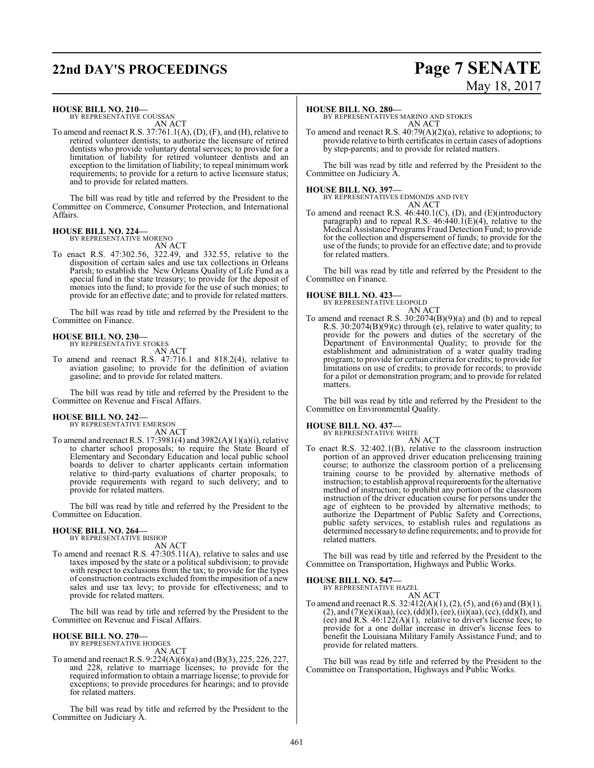# **22nd DAY'S PROCEEDINGS Page 7 SENATE**

**HOUSE BILL NO. 210—** BY REPRESENTATIVE COUSSAN AN ACT

To amend and reenact R.S. 37:761.1(A), (D), (F), and (H), relative to retired volunteer dentists; to authorize the licensure of retired dentists who provide voluntary dental services; to provide for a limitation of liability for retired volunteer dentists and an exception to the limitation of liability; to repeal minimum work requirements; to provide for a return to active licensure status; and to provide for related matters.

The bill was read by title and referred by the President to the Committee on Commerce, Consumer Protection, and International Affairs.

# **HOUSE BILL NO. 224—** BY REPRESENTATIVE MORENO

AN ACT

To enact R.S. 47:302.56, 322.49, and 332.55, relative to the disposition of certain sales and use tax collections in Orleans Parish; to establish the New Orleans Quality of Life Fund as a special fund in the state treasury; to provide for the deposit of monies into the fund; to provide for the use of such monies; to provide for an effective date; and to provide for related matters.

The bill was read by title and referred by the President to the Committee on Finance.

# **HOUSE BILL NO. 230—** BY REPRESENTATIVE STOKES

AN ACT

To amend and reenact R.S. 47:716.1 and 818.2(4), relative to aviation gasoline; to provide for the definition of aviation gasoline; and to provide for related matters.

The bill was read by title and referred by the President to the Committee on Revenue and Fiscal Affairs.

#### **HOUSE BILL NO. 242—**

BY REPRESENTATIVE EMERSON AN ACT

To amend and reenact R.S.  $17:3981(4)$  and  $3982(A)(1)(a)(i)$ , relative to charter school proposals; to require the State Board of Elementary and Secondary Education and local public school boards to deliver to charter applicants certain information relative to third-party evaluations of charter proposals; to provide requirements with regard to such delivery; and to provide for related matters.

The bill was read by title and referred by the President to the Committee on Education.

#### **HOUSE BILL NO. 264—**

BY REPRESENTATIVE BISHOP

- AN ACT To amend and reenact R.S. 47:305.11(A), relative to sales and use taxes imposed by the state or a political subdivision; to provide
- with respect to exclusions from the tax; to provide for the types of construction contracts excluded from the imposition of a new sales and use tax levy; to provide for effectiveness; and to provide for related matters.

The bill was read by title and referred by the President to the Committee on Revenue and Fiscal Affairs.

# **HOUSE BILL NO. 270—** BY REPRESENTATIVE HODGES

AN ACT

To amend and reenact R.S. 9:224(A)(6)(a) and (B)(3), 225, 226, 227, and 228, relative to marriage licenses; to provide for the required information to obtain a marriage license; to provide for exceptions; to provide procedures for hearings; and to provide for related matters.

The bill was read by title and referred by the President to the Committee on Judiciary A.

#### **HOUSE BILL NO. 280—**

BY REPRESENTATIVES MARINO AND STOKES AN ACT

To amend and reenact R.S. 40:79(A)(2)(a), relative to adoptions; to provide relative to birth certificates in certain cases of adoptions by step-parents; and to provide for related matters.

The bill was read by title and referred by the President to the Committee on Judiciary A.

**HOUSE BILL NO. 397—** BY REPRESENTATIVES EDMONDS AND IVEY AN ACT

To amend and reenact R.S. 46:440.1(C), (D), and (E)(introductory paragraph) and to repeal R.S. 46:440.1(E)(4), relative to the Medical Assistance Programs Fraud Detection Fund; to provide for the collection and dispersement of funds; to provide for the use of the funds; to provide for an effective date; and to provide for related matters.

The bill was read by title and referred by the President to the Committee on Finance.

# **HOUSE BILL NO. 423—** BY REPRESENTATIVE LEOPOLD

AN ACT

To amend and reenact R.S. 30:2074(B)(9)(a) and (b) and to repeal R.S. 30:2074(B)(9)(c) through (e), relative to water quality; to provide for the powers and duties of the secretary of the Department of Environmental Quality; to provide for the establishment and administration of a water quality trading program; to provide for certain criteria for credits; to provide for limitations on use of credits; to provide for records; to provide for a pilot or demonstration program; and to provide for related matters.

The bill was read by title and referred by the President to the Committee on Environmental Quality.

# **HOUSE BILL NO. 437—** BY REPRESENTATIVE WHITE

AN ACT

To enact R.S. 32:402.1(B), relative to the classroom instruction portion of an approved driver education prelicensing training course; to authorize the classroom portion of a prelicensing training course to be provided by alternative methods of instruction; to establish approval requirements for the alternative method of instruction; to prohibit any portion of the classroom instruction of the driver education course for persons under the age of eighteen to be provided by alternative methods; to authorize the Department of Public Safety and Corrections, public safety services, to establish rules and regulations as determined necessary to define requirements; and to provide for related matters.

The bill was read by title and referred by the President to the Committee on Transportation, Highways and Public Works.

#### **HOUSE BILL NO. 547—**

BY REPRESENTATIVE HAZEL AN ACT

To amend and reenact R.S.  $32:412(A)(1), (2), (5),$  and  $(6)$  and  $(B)(1),$  $(2)$ , and  $(7)(e)(i)(aa)$ ,  $(cc)$ ,  $(dd)(f)$ ,  $(ee)$ ,  $(ii)(aa)$ ,  $(cc)$ ,  $(dd)(I)$ , and (ee) and R.S.  $46:122(A)(1)$ , relative to driver's license fees; to provide for a one dollar increase in driver's license fees to benefit the Louisiana Military Family Assistance Fund; and to provide for related matters.

The bill was read by title and referred by the President to the Committee on Transportation, Highways and Public Works.

# May 18, 2017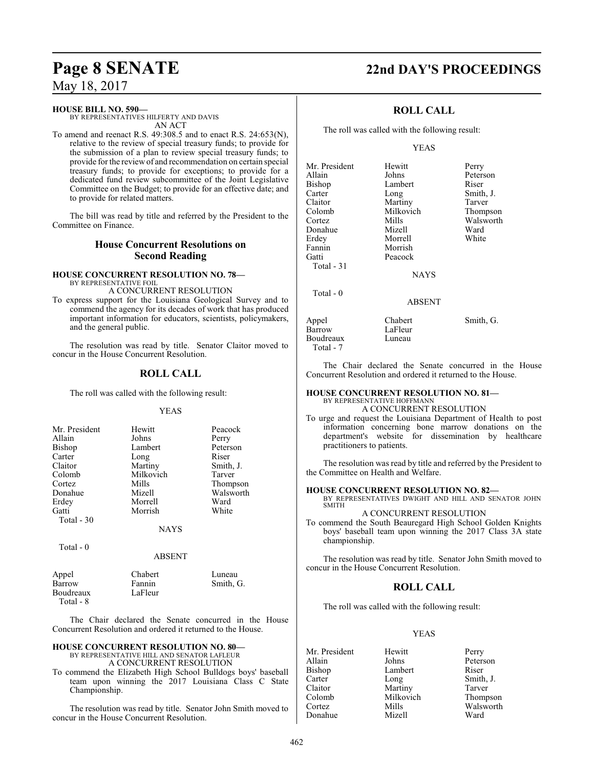Total - 7

May 18, 2017

### **HOUSE BILL NO. 590—**

BY REPRESENTATIVES HILFERTY AND DAVIS AN ACT

To amend and reenact R.S. 49:308.5 and to enact R.S. 24:653(N), relative to the review of special treasury funds; to provide for the submission of a plan to review special treasury funds; to provide for the review of and recommendation on certain special treasury funds; to provide for exceptions; to provide for a dedicated fund review subcommittee of the Joint Legislative Committee on the Budget; to provide for an effective date; and to provide for related matters.

The bill was read by title and referred by the President to the Committee on Finance.

### **House Concurrent Resolutions on Second Reading**

#### **HOUSE CONCURRENT RESOLUTION NO. 78—** BY REPRESENTATIVE FOIL A CONCURRENT RESOLUTION

To express support for the Louisiana Geological Survey and to commend the agency for its decades of work that has produced important information for educators, scientists, policymakers, and the general public.

The resolution was read by title. Senator Claitor moved to concur in the House Concurrent Resolution.

## **ROLL CALL**

The roll was called with the following result:

#### YEAS

| Mr. President | Hewitt    | Peacock   |
|---------------|-----------|-----------|
| Allain        | Johns     | Perry     |
| <b>Bishop</b> | Lambert   | Peterson  |
| Carter        | Long      | Riser     |
| Claitor       | Martiny   | Smith, J. |
| Colomb        | Milkovich | Tarver    |
| Cortez        | Mills     | Thompson  |
| Donahue       | Mizell    | Walsworth |
| Erdey         | Morrell   | Ward      |
| Gatti         | Morrish   | White     |
| Total - 30    |           |           |
|               | NAYS      |           |

Total - 0

#### ABSENT

| Appel     | Chabert | Luneau    |
|-----------|---------|-----------|
| Barrow    | Fannin  | Smith, G. |
| Boudreaux | LaFleur |           |
| Total - 8 |         |           |

The Chair declared the Senate concurred in the House Concurrent Resolution and ordered it returned to the House.

#### **HOUSE CONCURRENT RESOLUTION NO. 80—** BY REPRESENTATIVE HILL AND SENATOR LAFLEUR

A CONCURRENT RESOLUTION

To commend the Elizabeth High School Bulldogs boys' baseball team upon winning the 2017 Louisiana Class C State Championship.

The resolution was read by title. Senator John Smith moved to concur in the House Concurrent Resolution.

## **ROLL CALL**

The roll was called with the following result:

#### YEAS

| Mr. President | Hewitt      | Perry     |
|---------------|-------------|-----------|
| Allain        | Johns       | Peterson  |
| Bishop        | Lambert     | Riser     |
| Carter        | Long        | Smith, J. |
| Claitor       | Martiny     | Tarver    |
| Colomb        | Milkovich   | Thompson  |
| Cortez        | Mills       | Walsworth |
|               |             |           |
| Donahue       | Mizell      | Ward      |
| Erdey         | Morrell     | White     |
| Fannin        | Morrish     |           |
| Gatti         | Peacock     |           |
| Total $-31$   |             |           |
|               | <b>NAYS</b> |           |
| Total - 0     |             |           |
|               | ABSENT      |           |
| Appel         | Chabert     | Smith, G. |
| Barrow        | LaFleur     |           |
| Boudreaux     | Luneau      |           |

The Chair declared the Senate concurred in the House Concurrent Resolution and ordered it returned to the House.

## **HOUSE CONCURRENT RESOLUTION NO. 81—**

BY REPRESENTATIVE HOFFMANN A CONCURRENT RESOLUTION

To urge and request the Louisiana Department of Health to post information concerning bone marrow donations on the department's website for dissemination by healthcare practitioners to patients.

The resolution was read by title and referred by the President to the Committee on Health and Welfare.

#### **HOUSE CONCURRENT RESOLUTION NO. 82—**

BY REPRESENTATIVES DWIGHT AND HILL AND SENATOR JOHN SMITH

#### A CONCURRENT RESOLUTION

To commend the South Beauregard High School Golden Knights boys' baseball team upon winning the 2017 Class 3A state championship.

The resolution was read by title. Senator John Smith moved to concur in the House Concurrent Resolution.

## **ROLL CALL**

The roll was called with the following result:

#### YEAS

Mr. President Hewitt Perry<br>Allain Johns Peters Allain Johns Peterson<br>Bishop Lambert Riser Bishop Lambert<br>Carter Long Carter Long Smith, J.<br>Claitor Martiny Tarver Claitor Martiny<br>Colomb Milkovich Colomb Milkovich Thompson Donahue Mizell Ward

Walsworth

# **Page 8 SENATE 22nd DAY'S PROCEEDINGS**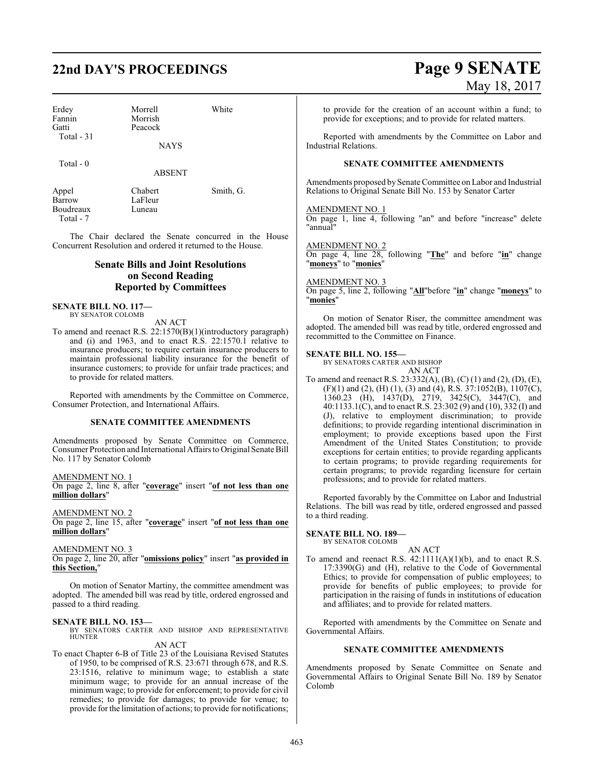# **22nd DAY'S PROCEEDINGS Page 9 SENATE**

Erdey Morrell White<br>
Fannin Morrish Fannin Morrish<br>Gatti Peacock Total - 31

Peacock

NAYS

Total - 0

ABSENT

Boudreaux Total - 7

Appel Chabert Smith, G.<br>Barrow LaFleur LaFleur<br>Luneau

The Chair declared the Senate concurred in the House Concurrent Resolution and ordered it returned to the House.

## **Senate Bills and Joint Resolutions on Second Reading Reported by Committees**

**SENATE BILL NO. 117—** BY SENATOR COLOMB

AN ACT

To amend and reenact R.S. 22:1570(B)(1)(introductory paragraph) and (i) and 1963, and to enact R.S. 22:1570.1 relative to insurance producers; to require certain insurance producers to maintain professional liability insurance for the benefit of insurance customers; to provide for unfair trade practices; and to provide for related matters.

Reported with amendments by the Committee on Commerce, Consumer Protection, and International Affairs.

#### **SENATE COMMITTEE AMENDMENTS**

Amendments proposed by Senate Committee on Commerce, Consumer Protection and International Affairs to Original Senate Bill No. 117 by Senator Colomb

AMENDMENT NO. 1

On page 2, line 8, after "**coverage**" insert "**of not less than one million dollars**"

AMENDMENT NO. 2

On page 2, line 15, after "**coverage**" insert "**of not less than one million dollars**"

AMENDMENT NO. 3

On page 2, line 20, after "**omissions policy**" insert "**as provided in this Section,**"

On motion of Senator Martiny, the committee amendment was adopted. The amended bill was read by title, ordered engrossed and passed to a third reading.

**SENATE BILL NO. 153—**<br>BY SENATORS CARTER AND BISHOP AND REPRESENTATIVE<br>HUNTER AN ACT

To enact Chapter 6-B of Title 23 of the Louisiana Revised Statutes of 1950, to be comprised of R.S. 23:671 through 678, and R.S. 23:1516, relative to minimum wage; to establish a state minimum wage; to provide for an annual increase of the minimum wage; to provide for enforcement; to provide for civil remedies; to provide for damages; to provide for venue; to provide for the limitation of actions; to provide for notifications;

# May 18, 2017

to provide for the creation of an account within a fund; to provide for exceptions; and to provide for related matters.

Reported with amendments by the Committee on Labor and Industrial Relations.

#### **SENATE COMMITTEE AMENDMENTS**

Amendments proposed by Senate Committee on Labor and Industrial Relations to Original Senate Bill No. 153 by Senator Carter

#### AMENDMENT NO. 1

On page 1, line 4, following "an" and before "increase" delete "annual"

#### AMENDMENT NO. 2

On page 4, line 28, following "**The**" and before "**in**" change "**moneys**" to "**monies**"

#### AMENDMENT NO. 3

On page 5, line 2, following "**All**"before "**in**" change "**moneys**" to "**monies**"

On motion of Senator Riser, the committee amendment was adopted. The amended bill was read by title, ordered engrossed and recommitted to the Committee on Finance.

#### **SENATE BILL NO. 155—**

BY SENATORS CARTER AND BISHOP AN ACT

To amend and reenact R.S. 23:332(A), (B), (C) (1) and (2), (D), (E), (F)(1) and (2), (H) (1), (3) and (4), R.S.  $37:1052(B)$ ,  $1107(C)$ , 1360.23 (H), 1437(D), 2719, 3425(C), 3447(C), and 40:1133.1(C), and to enact R.S. 23:302 (9) and (10),  $332(1)$  and (J), relative to employment discrimination; to provide definitions; to provide regarding intentional discrimination in employment; to provide exceptions based upon the First Amendment of the United States Constitution; to provide exceptions for certain entities; to provide regarding applicants to certain programs; to provide regarding requirements for certain programs; to provide regarding licensure for certain professions; and to provide for related matters.

Reported favorably by the Committee on Labor and Industrial Relations. The bill was read by title, ordered engrossed and passed to a third reading.

#### **SENATE BILL NO. 189—** BY SENATOR COLOMB

AN ACT To amend and reenact R.S.  $42:1111(A)(1)(b)$ , and to enact R.S. 17:3390(G) and (H), relative to the Code of Governmental Ethics; to provide for compensation of public employees; to provide for benefits of public employees; to provide for participation in the raising of funds in institutions of education and affiliates; and to provide for related matters.

Reported with amendments by the Committee on Senate and Governmental Affairs.

#### **SENATE COMMITTEE AMENDMENTS**

Amendments proposed by Senate Committee on Senate and Governmental Affairs to Original Senate Bill No. 189 by Senator Colomb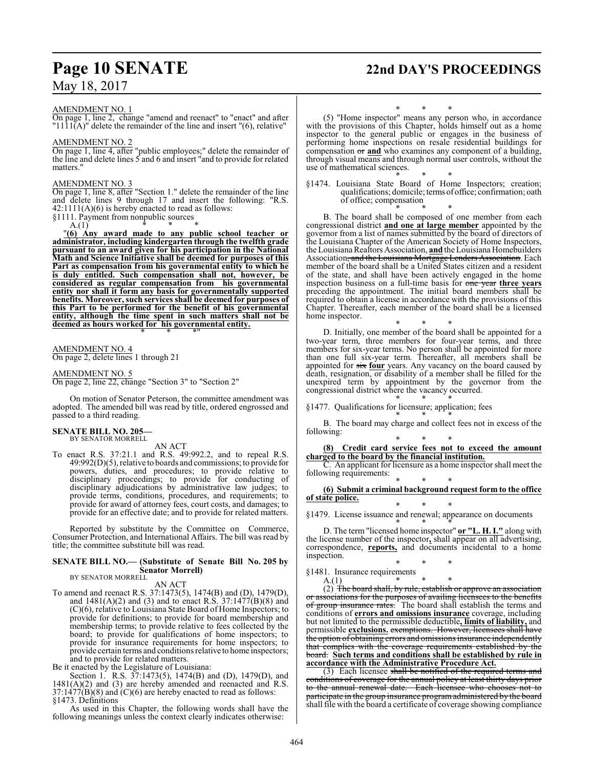# **Page 10 SENATE 22nd DAY'S PROCEEDINGS**

AMENDMENT NO. 1

On page 1, line 2, change "amend and reenact" to "enact" and after  $"1111(A)"$  delete the remainder of the line and insert  $"(6)$ , relative"

#### AMENDMENT NO. 2

On page 1, line 4, after "public employees;" delete the remainder of the line and delete lines 5 and 6 and insert "and to provide for related matters.

#### AMENDMENT NO. 3

On page 1, line 8, after "Section 1." delete the remainder of the line and delete lines 9 through 17 and insert the following: "R.S. 42:1111(A)(6) is hereby enacted to read as follows:

§1111. Payment from nonpublic sources  $A(1)$ A.(1) \* \* \*

"**(6) Any award made to any public school teacher or administrator, including kindergarten through the twelfth grade pursuant to an award given for his participation in the National Math and Science Initiative shall be deemed for purposes of this Part as compensation from his governmental entity to which he is duly entitled. Such compensation shall not, however, be considered as regular compensation from his governmental entity nor shall it form any basis for governmentally supported benefits. Moreover, such services shall be deemed for purposes of this Part to be performed for the benefit of his governmental entity, although the time spent in such matters shall not be deemed as hours worked for his governmental entity.** \* \* \*"

#### AMENDMENT NO. 4 On page 2, delete lines 1 through 21

#### AMENDMENT NO. 5

On page 2, line 22, change "Section 3" to "Section 2"

On motion of Senator Peterson, the committee amendment was adopted. The amended bill was read by title, ordered engrossed and passed to a third reading.

#### **SENATE BILL NO. 205—** BY SENATOR MORRELL

AN ACT

To enact R.S. 37:21.1 and R.S. 49:992.2, and to repeal R.S. 49:992(D)(5), relative to boards and commissions; to provide for powers, duties, and procedures; to provide relative to disciplinary proceedings; to provide for conducting of disciplinary adjudications by administrative law judges; to provide terms, conditions, procedures, and requirements; to provide for award of attorney fees, court costs, and damages; to provide for an effective date; and to provide for related matters.

Reported by substitute by the Committee on Commerce, Consumer Protection, and International Affairs. The bill was read by title; the committee substitute bill was read.

## **SENATE BILL NO.— (Substitute of Senate Bill No. 205 by Senator Morrell)**<br>BY SENATOR MORRELL

AN ACT

To amend and reenact R.S. 37:1473(5), 1474(B) and (D), 1479(D), and  $1481(A)(2)$  and (3) and to enact R.S.  $37:1477(B)(8)$  and (C)(6), relative to Louisiana State Board of Home Inspectors; to provide for definitions; to provide for board membership and membership terms; to provide relative to fees collected by the board; to provide for qualifications of home inspectors; to provide for insurance requirements for home inspectors; to provide certain terms and conditions relative to home inspectors; and to provide for related matters.

Be it enacted by the Legislature of Louisiana:

Section 1. R.S. 37:1473(5), 1474(B) and (D), 1479(D), and 1481(A)(2) and (3) are hereby amended and reenacted and R.S.  $37:1477(B)(8)$  and  $(C)(6)$  are hereby enacted to read as follows: §1473. Definitions

As used in this Chapter, the following words shall have the following meanings unless the context clearly indicates otherwise:

\* \* \*

(5) "Home inspector" means any person who, in accordance with the provisions of this Chapter, holds himself out as a home inspector to the general public or engages in the business of performing home inspections on resale residential buildings for compensation or **and** who examines any component of a building, through visual means and through normal user controls, without the use of mathematical sciences.

\* \* \* §1474. Louisiana State Board of Home Inspectors; creation; qualifications; domicile; terms ofoffice; confirmation; oath of office; compensation

\* \* \* B. The board shall be composed of one member from each congressional district **and one at large member** appointed by the governor from a list of names submitted by the board of directors of the Louisiana Chapter of the American Society of Home Inspectors, the Louisiana Realtors Association, **and** theLouisiana Homebuilders Association, and the Louisiana Mortgage Lenders Association. Each member of the board shall be a United States citizen and a resident of the state, and shall have been actively engaged in the home inspection business on a full-time basis for one year **three years** preceding the appointment. The initial board members shall be required to obtain a license in accordance with the provisions of this Chapter. Thereafter, each member of the board shall be a licensed home inspector.

\* \* \* D. Initially, one member of the board shall be appointed for a two-year term, three members for four-year terms, and three members for six-year terms. No person shall be appointed for more than one full six-year term. Thereafter, all members shall be appointed for six **four** years. Any vacancy on the board caused by death, resignation, or disability of a member shall be filled for the unexpired term by appointment by the governor from the congressional district where the vacancy occurred.

\* \* \* §1477. Qualifications for licensure; application; fees

\* \* \* B. The board may charge and collect fees not in excess of the following:

\* \* \* **(8) Credit card service fees not to exceed the amount charged to the board by the financial institution.**

C. An applicant for licensure as a home inspector shall meet the following requirements:

#### \* \* \* **(6) Submit a criminal background request form to the office of state police.**

\* \* \* §1479. License issuance and renewal; appearance on documents

\* \* \* D. The term "licensed home inspector" **or "L. H. I."** along with the license number of the inspector**,** shall appear on all advertising, correspondence, **reports,** and documents incidental to a home inspection.

- \* \* \*
- §1481. Insurance requirements  $A(1)$  \* A.(1) \* \* \*

(2) The board shall, by rule, establish or approve an association or associations for the purposes of availing licensees to the benefits of group insurance rates. The board shall establish the terms and conditions of **errors and omissions insurance** coverage, including but not limited to the permissible deductible**, limits of liability,** and permissible **exclusions.** exemptions. However, licensees shall have the option of obtaining errors and omissions insurance independently that complies with the coverage requirements established by the board. **Such terms and conditions shall be established by rule in accordance with the Administrative Procedure Act.**

(3) Each licensee shall be notified of the required terms and conditions of coverage for the annual policy at least thirty days prior to the annual renewal date. Each licensee who chooses not to participate in the group insurance programadministered by the board shall file with the board a certificate of coverage showing compliance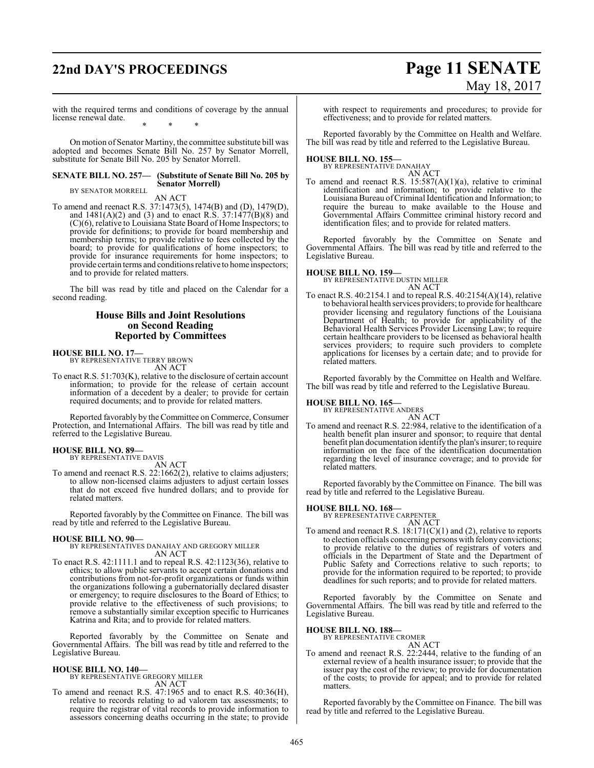# **22nd DAY'S PROCEEDINGS Page 11 SENATE** May 18, 2017

with the required terms and conditions of coverage by the annual license renewal date. \* \* \*

On motion of Senator Martiny, the committee substitute bill was adopted and becomes Senate Bill No. 257 by Senator Morrell, substitute for Senate Bill No. 205 by Senator Morrell.

#### **SENATE BILL NO. 257— (Substitute of Senate Bill No. 205 by Senator Morrell)** BY SENATOR MORRELL

AN ACT

To amend and reenact R.S. 37:1473(5), 1474(B) and (D), 1479(D), and 1481(A)(2) and (3) and to enact R.S. 37:1477(B)(8) and (C)(6), relative to Louisiana State Board of Home Inspectors; to provide for definitions; to provide for board membership and membership terms; to provide relative to fees collected by the board; to provide for qualifications of home inspectors; to provide for insurance requirements for home inspectors; to provide certain terms and conditions relative to home inspectors; and to provide for related matters.

The bill was read by title and placed on the Calendar for a second reading.

#### **House Bills and Joint Resolutions on Second Reading Reported by Committees**

**HOUSE BILL NO. 17—** BY REPRESENTATIVE TERRY BROWN AN ACT

To enact R.S. 51:703(K), relative to the disclosure of certain account information; to provide for the release of certain account information of a decedent by a dealer; to provide for certain required documents; and to provide for related matters.

Reported favorably by theCommittee on Commerce, Consumer Protection, and International Affairs. The bill was read by title and referred to the Legislative Bureau.

#### **HOUSE BILL NO. 89—**

BY REPRESENTATIVE DAVIS AN ACT

To amend and reenact R.S. 22:1662(2), relative to claims adjusters; to allow non-licensed claims adjusters to adjust certain losses that do not exceed five hundred dollars; and to provide for related matters.

Reported favorably by the Committee on Finance. The bill was read by title and referred to the Legislative Bureau.

#### **HOUSE BILL NO. 90—**

BY REPRESENTATIVES DANAHAY AND GREGORY MILLER AN ACT

To enact R.S. 42:1111.1 and to repeal R.S. 42:1123(36), relative to ethics; to allow public servants to accept certain donations and contributions from not-for-profit organizations or funds within the organizations following a gubernatorially declared disaster or emergency; to require disclosures to the Board of Ethics; to provide relative to the effectiveness of such provisions; to remove a substantially similar exception specific to Hurricanes Katrina and Rita; and to provide for related matters.

Reported favorably by the Committee on Senate and Governmental Affairs. The bill was read by title and referred to the Legislative Bureau.

## **HOUSE BILL NO. 140—**

BY REPRESENTATIVE GREGORY MILLER AN ACT

To amend and reenact R.S. 47:1965 and to enact R.S. 40:36(H), relative to records relating to ad valorem tax assessments; to require the registrar of vital records to provide information to assessors concerning deaths occurring in the state; to provide with respect to requirements and procedures; to provide for effectiveness; and to provide for related matters.

Reported favorably by the Committee on Health and Welfare. The bill was read by title and referred to the Legislative Bureau.

**HOUSE BILL NO. 155—** BY REPRESENTATIVE DANAHAY

AN ACT To amend and reenact R.S.  $15:587(A)(1)(a)$ , relative to criminal identification and information; to provide relative to the Louisiana Bureau ofCriminal Identification and Information; to require the bureau to make available to the House and Governmental Affairs Committee criminal history record and identification files; and to provide for related matters.

Reported favorably by the Committee on Senate and Governmental Affairs. The bill was read by title and referred to the Legislative Bureau.

# **HOUSE BILL NO. 159—** BY REPRESENTATIVE DUSTIN MILLER

AN ACT

To enact R.S. 40:2154.1 and to repeal R.S. 40:2154(A)(14), relative to behavioral health services providers; to provide for healthcare provider licensing and regulatory functions of the Louisiana Department of Health; to provide for applicability of the Behavioral Health Services Provider Licensing Law; to require certain healthcare providers to be licensed as behavioral health services providers; to require such providers to complete applications for licenses by a certain date; and to provide for related matters.

Reported favorably by the Committee on Health and Welfare. The bill was read by title and referred to the Legislative Bureau.

# **HOUSE BILL NO. 165—** BY REPRESENTATIVE ANDERS

AN ACT

To amend and reenact R.S. 22:984, relative to the identification of a health benefit plan insurer and sponsor; to require that dental benefit plan documentation identify the plan's insurer; to require information on the face of the identification documentation regarding the level of insurance coverage; and to provide for related matters.

Reported favorably by the Committee on Finance. The bill was read by title and referred to the Legislative Bureau.

## **HOUSE BILL NO. 168—**

BY REPRESENTATIVE CARPENTER AN ACT

To amend and reenact R.S.  $18:171(C)(1)$  and (2), relative to reports to election officials concerning persons with felony convictions; to provide relative to the duties of registrars of voters and officials in the Department of State and the Department of Public Safety and Corrections relative to such reports; to provide for the information required to be reported; to provide deadlines for such reports; and to provide for related matters.

Reported favorably by the Committee on Senate and Governmental Affairs. The bill was read by title and referred to the Legislative Bureau.

# **HOUSE BILL NO. 188—** BY REPRESENTATIVE CROMER

- AN ACT
- To amend and reenact R.S. 22:2444, relative to the funding of an external review of a health insurance issuer; to provide that the issuer pay the cost of the review; to provide for documentation of the costs; to provide for appeal; and to provide for related matters.

Reported favorably by the Committee on Finance. The bill was read by title and referred to the Legislative Bureau.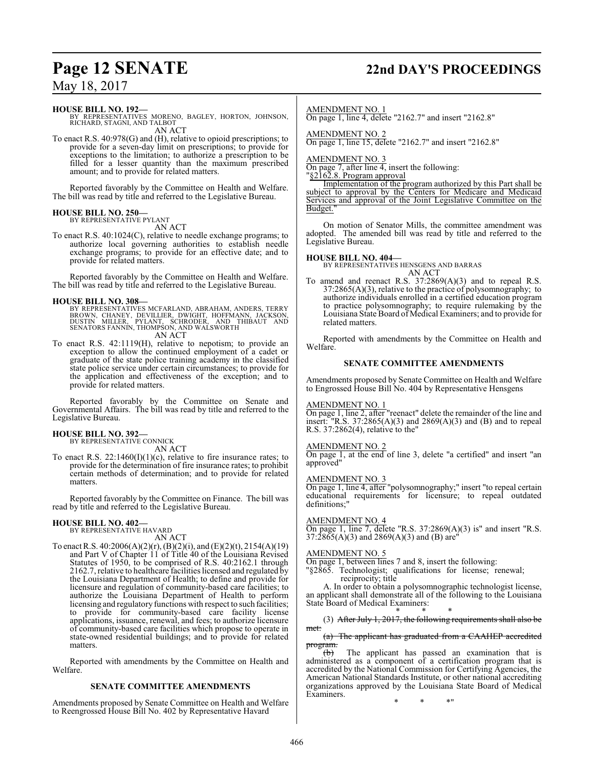# **Page 12 SENATE 22nd DAY'S PROCEEDINGS**

## May 18, 2017

**HOUSE BILL NO. 192—**

BY REPRESENTATIVES MORENO, BAGLEY, HORTON, JOHNSON, RICHARD, STAGNI, AND TALBOT AN ACT

To enact R.S. 40:978(G) and (H), relative to opioid prescriptions; to provide for a seven-day limit on prescriptions; to provide for exceptions to the limitation; to authorize a prescription to be filled for a lesser quantity than the maximum prescribed amount; and to provide for related matters.

Reported favorably by the Committee on Health and Welfare. The bill was read by title and referred to the Legislative Bureau.

#### **HOUSE BILL NO. 250—**

BY REPRESENTATIVE PYLANT AN ACT

To enact R.S. 40:1024(C), relative to needle exchange programs; to authorize local governing authorities to establish needle exchange programs; to provide for an effective date; and to provide for related matters.

Reported favorably by the Committee on Health and Welfare. The bill was read by title and referred to the Legislative Bureau.

**HOUSE BILL NO. 308—**<br>BY REPRESENTATIVES MCFARLAND, ABRAHAM, ANDERS, TERRY<br>BROWN, CHANEY, DEVILLIER, DWIGHT, HOFFMANN, JACKSON,<br>DUSTIN MILLER, PYLANT, SCHRODER, AND THIBAUT AND<br>SENATORS FANNIN, THOMPSON, AND WALSWORTH AN ACT

To enact R.S. 42:1119(H), relative to nepotism; to provide an exception to allow the continued employment of a cadet or graduate of the state police training academy in the classified state police service under certain circumstances; to provide for the application and effectiveness of the exception; and to provide for related matters.

Reported favorably by the Committee on Senate and Governmental Affairs. The bill was read by title and referred to the Legislative Bureau.

#### **HOUSE BILL NO. 392—**

BY REPRESENTATIVE CONNICK

AN ACT

To enact R.S.  $22:1460(I)(1)(c)$ , relative to fire insurance rates; to provide for the determination of fire insurance rates; to prohibit certain methods of determination; and to provide for related matters.

Reported favorably by the Committee on Finance. The bill was read by title and referred to the Legislative Bureau.

#### **HOUSE BILL NO. 402—**

BY REPRESENTATIVE HAVARD AN ACT

To enact R.S. 40:2006(A)(2)(r), (B)(2)(i), and (E)(2)(t), 2154(A)(19) and Part V of Chapter 11 of Title 40 of the Louisiana Revised Statutes of 1950, to be comprised of R.S. 40:2162.1 through 2162.7, relative to healthcare facilities licensed and regulated by the Louisiana Department of Health; to define and provide for licensure and regulation of community-based care facilities; to authorize the Louisiana Department of Health to perform licensing and regulatory functions with respect to such facilities; to provide for community-based care facility license applications, issuance, renewal, and fees; to authorize licensure of community-based care facilities which propose to operate in state-owned residential buildings; and to provide for related matters.

Reported with amendments by the Committee on Health and Welfare.

#### **SENATE COMMITTEE AMENDMENTS**

Amendments proposed by Senate Committee on Health and Welfare to Reengrossed House Bill No. 402 by Representative Havard

#### AMENDMENT NO. 1

On page 1, line 4, delete "2162.7" and insert "2162.8"

AMENDMENT NO. 2

On page 1, line 15, delete "2162.7" and insert "2162.8"

#### AMENDMENT NO. 3

On page 7, after line 4, insert the following:

"§2162.8. Program approval

Implementation of the program authorized by this Part shall be subject to approval by the Centers for Medicare and Medicaid Services and approval of the Joint Legislative Committee on the Budget.

On motion of Senator Mills, the committee amendment was adopted. The amended bill was read by title and referred to the Legislative Bureau.

#### **HOUSE BILL NO. 404—**

BY REPRESENTATIVES HENSGENS AND BARRAS AN ACT

To amend and reenact R.S. 37:2869(A)(3) and to repeal R.S. 37:2865(A)(3), relative to the practice of polysomnography; to authorize individuals enrolled in a certified education program to practice polysomnography; to require rulemaking by the Louisiana State Board of Medical Examiners; and to provide for related matters.

Reported with amendments by the Committee on Health and Welfare.

#### **SENATE COMMITTEE AMENDMENTS**

Amendments proposed by Senate Committee on Health and Welfare to Engrossed House Bill No. 404 by Representative Hensgens

#### AMENDMENT NO. 1

On page 1, line 2, after "reenact" delete the remainder of the line and insert: "R.S.  $37:2865(A)(3)$  and  $2869(A)(3)$  and  $(B)$  and to repeal R.S. 37:2862(4), relative to the"

#### AMENDMENT NO. 2

On page 1, at the end of line 3, delete "a certified" and insert "an approved"

#### AMENDMENT NO. 3

On page 1, line 4, after "polysomnography;" insert "to repeal certain educational requirements for licensure; to repeal outdated definitions;"

#### AMENDMENT NO. 4

On page 1, line 7, delete "R.S. 37:2869(A)(3) is" and insert "R.S.  $37:2865(A)(3)$  and  $2869(A)(3)$  and (B) are<sup>"</sup>

#### AMENDMENT NO. 5

On page 1, between lines 7 and 8, insert the following: "§2865. Technologist; qualifications for license; renewal;

reciprocity; title

A. In order to obtain a polysomnographic technologist license, an applicant shall demonstrate all of the following to the Louisiana State Board of Medical Examiners: \* \* \*

(3) After July 1, 2017, the following requirements shall also be met:

(a) The applicant has graduated from a CAAHEP accredited

program.<br>(b) The applicant has passed an examination that is administered as a component of a certification program that is accredited by the National Commission for Certifying Agencies, the American National Standards Institute, or other national accrediting organizations approved by the Louisiana State Board of Medical Examiners.

\* \* \*"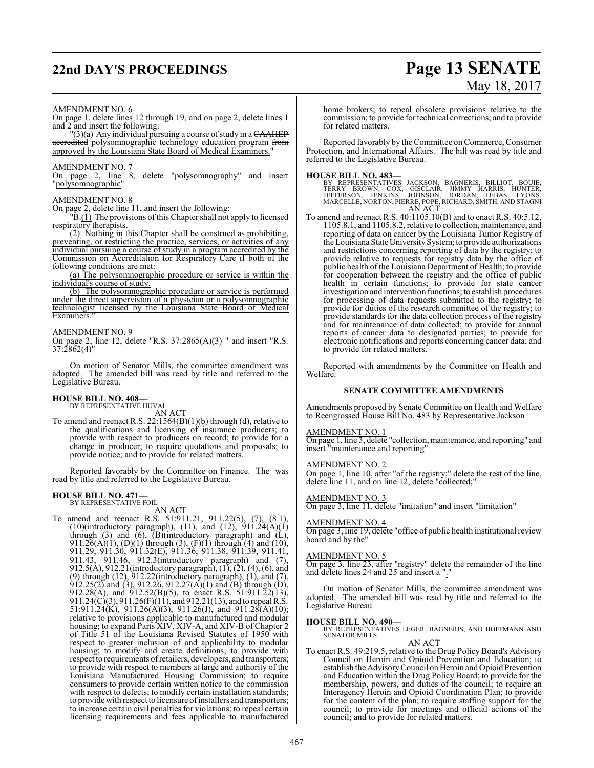# **22nd DAY'S PROCEEDINGS Page 13 SENATE**

# May 18, 2017

#### AMENDMENT NO. 6

On page 1, delete lines 12 through 19, and on page 2, delete lines 1 and 2 and insert the following:

 $''(3)$ (a) Any individual pursuing a course of study in a  $\overline{CAAHEP}$ accredited polysomnographic technology education program from approved by the Louisiana State Board of Medical Examiners."

#### AMENDMENT NO. 7

On page 2, line 8, delete "polysomnography" and insert "polysomnographic"

#### AMENDMENT NO. 8

On page 2, delete line 11, and insert the following:

 $\overline{B(1)}$  The provisions of this Chapter shall not apply to licensed respiratory therapists.

(2) Nothing in this Chapter shall be construed as prohibiting, preventing, or restricting the practice, services, or activities of any individual pursuing a course of study in a program accredited by the Commission on Accreditation for Respiratory Care if both of the following conditions are met:

(a) The polysomnographic procedure or service is within the individual's course of study.

(b) The polysomnographic procedure or service is performed under the direct supervision of a physician or a polysomnographic technologist licensed by the Louisiana State Board of Medical Examiners.

#### AMENDMENT NO. 9

On page 2, line 12, delete "R.S. 37:2865(A)(3) " and insert "R.S.  $37:2862(4)$ "

On motion of Senator Mills, the committee amendment was adopted. The amended bill was read by title and referred to the Legislative Bureau.

# **HOUSE BILL NO. 408—** BY REPRESENTATIVE HUVAL

AN ACT To amend and reenact R.S. 22:1564(B)(1)(b) through (d), relative to the qualifications and licensing of insurance producers; to provide with respect to producers on record; to provide for a change in producer; to require quotations and proposals; to provide notice; and to provide for related matters.

Reported favorably by the Committee on Finance. The was read by title and referred to the Legislative Bureau.

#### **HOUSE BILL NO. 471—**

BY REPRESENTATIVE FOIL

#### AN ACT

To amend and reenact R.S. 51:911.21, 911.22(5), (7), (8.1), (10)(introductory paragraph), (11), and (12),  $911.24(A)(1)$ through (3) and (6),  $(B)$ (introductory paragraph) and (L), 911.26(A)(1), (D)(1) through (3), (F)(1) through (4) and (10), 911.29, 911.30, 911.32(E), 911.36, 911.38, 911.39, 911.41, 911.43, 911.46, 912.3(introductory paragraph) and (7), 912.5(A), 912.21(introductory paragraph),  $(1)$ ,  $(2)$ ,  $(4)$ ,  $(6)$ , and (9) through (12), 912.22(introductory paragraph), (1), and (7),  $912.25(2)$  and (3),  $912.26$ ,  $912.27(A)(1)$  and (B) through (D), 912.28(A), and 912.52(B)(5), to enact R.S. 51:911.22(13), 911.24(C)(3), 911.26(F)(11), and 912.21(13), and to repeal R.S. 51:911.24(K), 911.26(A)(3), 911.26(J), and 911.28(A)(10); relative to provisions applicable to manufactured and modular housing; to expand Parts XIV, XIV-A, and XIV-B of Chapter 2 of Title 51 of the Louisiana Revised Statutes of 1950 with respect to greater inclusion of and applicability to modular housing; to modify and create definitions; to provide with respect to requirements ofretailers, developers, and transporters; to provide with respect to members at large and authority of the Louisiana Manufactured Housing Commission; to require consumers to provide certain written notice to the commission with respect to defects; to modify certain installation standards; to provide with respect to licensure ofinstallers and transporters; to increase certain civil penalties for violations; to repeal certain licensing requirements and fees applicable to manufactured

home brokers; to repeal obsolete provisions relative to the commission; to provide for technical corrections; and to provide for related matters.

Reported favorably by the Committee on Commerce, Consumer Protection, and International Affairs. The bill was read by title and referred to the Legislative Bureau.

**HOUSE BILL NO. 483—**<br>BY REPRESENTATIVES JACKSON, BAGNERIS, BILLIOT, BOUIE,<br>TERRY BROWN, COX, GISCLAIR, JIMMY HARRIS, HUNTER,<br>JEFFERSON, JENKINS, JOHNSON, JORDAN, LEBAS, LYONS,<br>MARCELLE, NORTON, PIERRE, POPE, RICHARD, SMIT AN ACT

To amend and reenact R.S. 40:1105.10(B) and to enact R.S. 40:5.12, 1105.8.1, and 1105.8.2, relative to collection, maintenance, and reporting of data on cancer by the Louisiana Tumor Registry of the Louisiana StateUniversitySystem; to provide authorizations and restrictions concerning reporting of data by the registry; to provide relative to requests for registry data by the office of public health of the Louisiana Department of Health; to provide for cooperation between the registry and the office of public health in certain functions; to provide for state cancer investigation and intervention functions; to establish procedures for processing of data requests submitted to the registry; to provide for duties of the research committee of the registry; to provide standards for the data collection process of the registry and for maintenance of data collected; to provide for annual reports of cancer data to designated parties; to provide for electronic notifications and reports concerning cancer data; and to provide for related matters.

Reported with amendments by the Committee on Health and Welfare.

#### **SENATE COMMITTEE AMENDMENTS**

Amendments proposed by Senate Committee on Health and Welfare to Reengrossed House Bill No. 483 by Representative Jackson

#### AMENDMENT NO. 1

On page 1, line 3, delete "collection, maintenance, and reporting" and insert "maintenance and reporting"

#### AMENDMENT NO. 2

On page 1, line 10, after "of the registry;" delete the rest of the line, delete line 11, and on line 12, delete "collected;"

#### AMENDMENT NO. 3

On page 3, line 11, delete "imitation" and insert "limitation"

#### AMENDMENT NO. 4

On page 3, line 19, delete "office of public health institutional review board and by the"

#### AMENDMENT NO. 5

On page 3, line 23, after "registry" delete the remainder of the line and delete lines 24 and 25 and insert a "."

On motion of Senator Mills, the committee amendment was adopted. The amended bill was read by title and referred to the Legislative Bureau.

#### **HOUSE BILL NO. 490—**

BY REPRESENTATIVES LEGER, BAGNERIS, AND HOFFMANN AND SENATOR MILLS

#### AN ACT

To enact R.S. 49:219.5, relative to the Drug Policy Board's Advisory Council on Heroin and Opioid Prevention and Education; to establish the AdvisoryCouncil on Heroin and Opioid Prevention and Education within the Drug Policy Board; to provide for the membership, powers, and duties of the council; to require an Interagency Heroin and Opioid Coordination Plan; to provide for the content of the plan; to require staffing support for the council; to provide for meetings and official actions of the council; and to provide for related matters.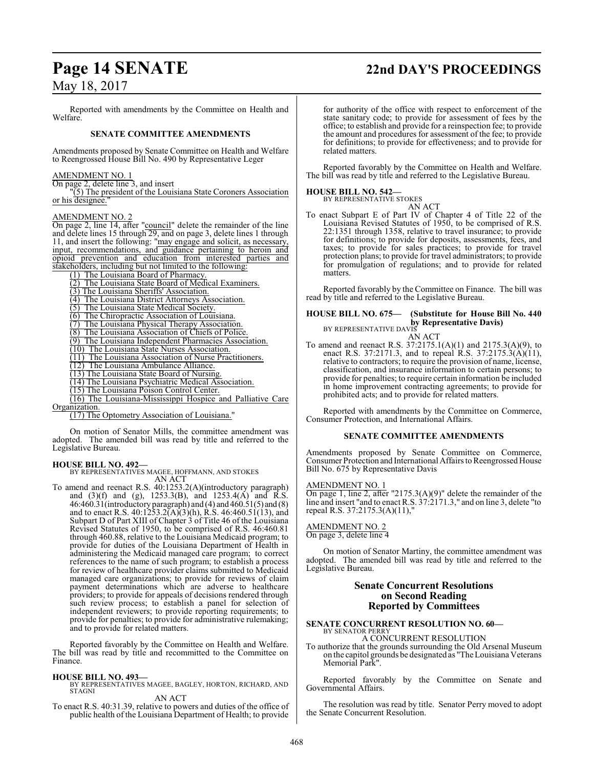# **Page 14 SENATE 22nd DAY'S PROCEEDINGS**

## May 18, 2017

Reported with amendments by the Committee on Health and Welfare.

## **SENATE COMMITTEE AMENDMENTS**

Amendments proposed by Senate Committee on Health and Welfare to Reengrossed House Bill No. 490 by Representative Leger

#### AMENDMENT NO. 1

On page 2, delete line 3, and insert

"(5) The president of the Louisiana State Coroners Association or his designee."

#### AMENDMENT NO. 2

On page 2, line 14, after "council" delete the remainder of the line and delete lines 15 through 29, and on page 3, delete lines 1 through 11, and insert the following: "may engage and solicit, as necessary, input, recommendations, and guidance pertaining to heroin and opioid prevention and education from interested parties and stakeholders, including but not limited to the following:

(1) The Louisiana Board of Pharmacy.

(2) The Louisiana State Board of Medical Examiners.

(3) The Louisiana Sheriffs' Association.

(4) The Louisiana District Attorneys Association.

- (5) The Louisiana State Medical Society.
- (6) The Chiropractic Association of Louisiana.

(7) The Louisiana Physical Therapy Association.

(8) The Louisiana Association of Chiefs of Police.

(9) The Louisiana Independent Pharmacies Association.

(10) The Louisiana State Nurses Association.

(11) The Louisiana Association of Nurse Practitioners.

(12) The Louisiana Ambulance Alliance.

(13) The Louisiana State Board of Nursing.

(14) The Louisiana Psychiatric Medical Association.

(15) The Louisiana Poison Control Center. (16) The Louisiana-Mississippi Hospice and Palliative Care

Organization.

(17) The Optometry Association of Louisiana."

On motion of Senator Mills, the committee amendment was adopted. The amended bill was read by title and referred to the Legislative Bureau.

**HOUSE BILL NO. 492—** BY REPRESENTATIVES MAGEE, HOFFMANN, AND STOKES AN ACT

To amend and reenact R.S. 40:1253.2(A)(introductory paragraph) and (3)(f) and (g), 1253.3(B), and 1253.4(A) and R.S. 46:460.31(introductory paragraph) and (4) and 460.51(5) and (8) and to enact R.S.  $40:1253.2(A)(3)(h)$ , R.S.  $46:460.51(13)$ , and Subpart D of Part XIII of Chapter 3 of Title 46 of the Louisiana Revised Statutes of 1950, to be comprised of R.S. 46:460.81 through 460.88, relative to the Louisiana Medicaid program; to provide for duties of the Louisiana Department of Health in administering the Medicaid managed care program; to correct references to the name of such program; to establish a process for review of healthcare provider claims submitted to Medicaid managed care organizations; to provide for reviews of claim payment determinations which are adverse to healthcare providers; to provide for appeals of decisions rendered through such review process; to establish a panel for selection of independent reviewers; to provide reporting requirements; to provide for penalties; to provide for administrative rulemaking; and to provide for related matters.

Reported favorably by the Committee on Health and Welfare. The bill was read by title and recommitted to the Committee on Finance.

#### **HOUSE BILL NO. 493—**

BY REPRESENTATIVES MAGEE, BAGLEY, HORTON, RICHARD, AND STAGNI

AN ACT

To enact R.S. 40:31.39, relative to powers and duties of the office of public health of the Louisiana Department of Health; to provide for authority of the office with respect to enforcement of the state sanitary code; to provide for assessment of fees by the office; to establish and provide for a reinspection fee; to provide the amount and procedures for assessment of the fee; to provide for definitions; to provide for effectiveness; and to provide for related matters.

Reported favorably by the Committee on Health and Welfare. The bill was read by title and referred to the Legislative Bureau.

#### **HOUSE BILL NO. 542—**

BY REPRESENTATIVE STOKES

AN ACT To enact Subpart E of Part IV of Chapter 4 of Title 22 of the Louisiana Revised Statutes of 1950, to be comprised of R.S. 22:1351 through 1358, relative to travel insurance; to provide for definitions; to provide for deposits, assessments, fees, and taxes; to provide for sales practices; to provide for travel protection plans; to provide for travel administrators; to provide for promulgation of regulations; and to provide for related matters.

Reported favorably by the Committee on Finance. The bill was read by title and referred to the Legislative Bureau.

## **HOUSE BILL NO. 675— (Substitute for House Bill No. 440 by Representative Davis)**<br>BY REPRESENTATIVE DAVIS

AN ACT To amend and reenact R.S. 37:2175.1(A)(1) and 2175.3(A)(9), to enact R.S. 37:2171.3, and to repeal R.S. 37:2175.3(A)(11), relative to contractors; to require the provision of name, license, classification, and insurance information to certain persons; to provide for penalties; to require certain information be included in home improvement contracting agreements; to provide for prohibited acts; and to provide for related matters.

Reported with amendments by the Committee on Commerce, Consumer Protection, and International Affairs.

#### **SENATE COMMITTEE AMENDMENTS**

Amendments proposed by Senate Committee on Commerce, Consumer Protection and International Affairs to Reengrossed House Bill No. 675 by Representative Davis

#### AMENDMENT NO. 1

 $\overline{On}$  page 1, line 2, after "2175.3(A)(9)" delete the remainder of the line and insert "and to enact R.S. 37:2171.3," and on line 3, delete "to repeal R.S. 37:2175.3(A)(11),"

#### AMENDMENT NO. 2

On page 3, delete line 4

On motion of Senator Martiny, the committee amendment was adopted. The amended bill was read by title and referred to the Legislative Bureau.

#### **Senate Concurrent Resolutions on Second Reading Reported by Committees**

#### **SENATE CONCURRENT RESOLUTION NO. 60—** BY SENATOR PERRY

A CONCURRENT RESOLUTION

To authorize that the grounds surrounding the Old Arsenal Museum on the capitol grounds be designated as "TheLouisiana Veterans Memorial Park".

Reported favorably by the Committee on Senate and Governmental Affairs.

The resolution was read by title. Senator Perry moved to adopt the Senate Concurrent Resolution.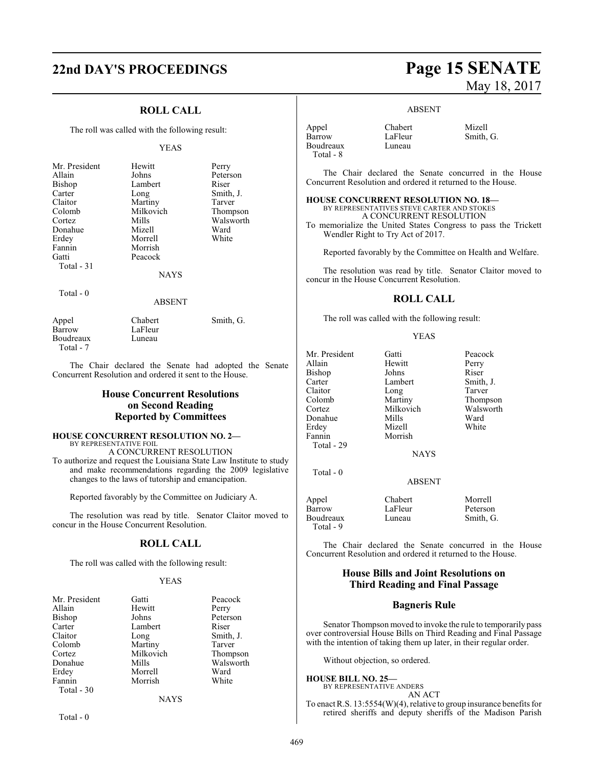# **22nd DAY'S PROCEEDINGS Page 15 SENATE**

## **ROLL CALL**

The roll was called with the following result:

#### YEAS

| Mr. President<br>Allain<br>Bishop<br>Carter<br>Claitor<br>Colomb<br>Cortez | Hewitt<br>Johns<br>Lambert<br>Long<br>Martiny<br>Milkovich<br>Mills | Perry<br>Peterson<br>Riser<br>Smith, J.<br>Tarver<br>Thompson<br>Walsworth |
|----------------------------------------------------------------------------|---------------------------------------------------------------------|----------------------------------------------------------------------------|
| Donahue                                                                    | Mizell                                                              | Ward                                                                       |
| Erdey                                                                      | Morrell                                                             | White                                                                      |
| Fannin                                                                     | Morrish                                                             |                                                                            |
| Gatti                                                                      | Peacock                                                             |                                                                            |
| Total $-31$                                                                |                                                                     |                                                                            |
|                                                                            | <b>NAYS</b>                                                         |                                                                            |
| Total - 0                                                                  | ABSENT                                                              |                                                                            |
|                                                                            |                                                                     |                                                                            |

Appel Chabert Smith, G. Barrow LaFleur<br>Boudreaux Luneau Boudreaux Total - 7

The Chair declared the Senate had adopted the Senate Concurrent Resolution and ordered it sent to the House.

## **House Concurrent Resolutions on Second Reading Reported by Committees**

#### **HOUSE CONCURRENT RESOLUTION NO. 2—** BY REPRESENTATIVE FOIL A CONCURRENT RESOLUTION

To authorize and request the Louisiana State Law Institute to study and make recommendations regarding the 2009 legislative changes to the laws of tutorship and emancipation.

Reported favorably by the Committee on Judiciary A.

The resolution was read by title. Senator Claitor moved to concur in the House Concurrent Resolution.

#### **ROLL CALL**

The roll was called with the following result:

#### YEAS

| Mr. President | Gatti     | Peacock   |
|---------------|-----------|-----------|
| Allain        | Hewitt    | Perry     |
| Bishop        | Johns     | Peterson  |
| Carter        | Lambert   | Riser     |
| Claitor       | Long      | Smith, J. |
| Colomb        | Martiny   | Tarver    |
| Cortez        | Milkovich | Thompson  |
| Donahue       | Mills     | Walsworth |
| Erdey         | Morrell   | Ward      |
| Fannin        | Morrish   | White     |
| Total - 30    |           |           |
|               | NAYS      |           |

Total - 0

# May 18, 2017

#### ABSENT

| Appel     | Chabert | Mizell    |
|-----------|---------|-----------|
| Barrow    | LaFleur | Smith, G. |
| Boudreaux | Luneau  |           |
| Total - 8 |         |           |

The Chair declared the Senate concurred in the House Concurrent Resolution and ordered it returned to the House.

#### **HOUSE CONCURRENT RESOLUTION NO. 18—** BY REPRESENTATIVES STEVE CARTER AND STOKES A CONCURRENT RESOLUTION

To memorialize the United States Congress to pass the Trickett Wendler Right to Try Act of 2017.

Reported favorably by the Committee on Health and Welfare.

The resolution was read by title. Senator Claitor moved to concur in the House Concurrent Resolution.

#### **ROLL CALL**

The roll was called with the following result:

Mr. President Gatti Peacock

#### YEAS

| Allain                 | Hewitt        | Perry     |
|------------------------|---------------|-----------|
| <b>Bishop</b>          | Johns         | Riser     |
| Carter                 | Lambert       | Smith, J. |
| Claitor                | Long          | Tarver    |
| Colomb                 | Martiny       | Thompson  |
| Cortez                 | Milkovich     | Walsworth |
| Donahue                | Mills         | Ward      |
| Erdey                  | Mizell        | White     |
| Fannin                 | Morrish       |           |
| Total - 29             |               |           |
|                        | <b>NAYS</b>   |           |
| $Total - 0$            |               |           |
|                        | <b>ABSENT</b> |           |
| Appel                  | Chabert       | Morrell   |
| Barrow                 | LaFleur       | Peterson  |
| Boudreaux<br>Total - 9 | Luneau        | Smith, G. |

The Chair declared the Senate concurred in the House Concurrent Resolution and ordered it returned to the House.

## **House Bills and Joint Resolutions on Third Reading and Final Passage**

#### **Bagneris Rule**

Senator Thompson moved to invoke the rule to temporarily pass over controversial House Bills on Third Reading and Final Passage with the intention of taking them up later, in their regular order.

Without objection, so ordered.

#### **HOUSE BILL NO. 25—**

BY REPRESENTATIVE ANDERS AN ACT

To enact R.S. 13:5554(W)(4), relative to group insurance benefits for retired sheriffs and deputy sheriffs of the Madison Parish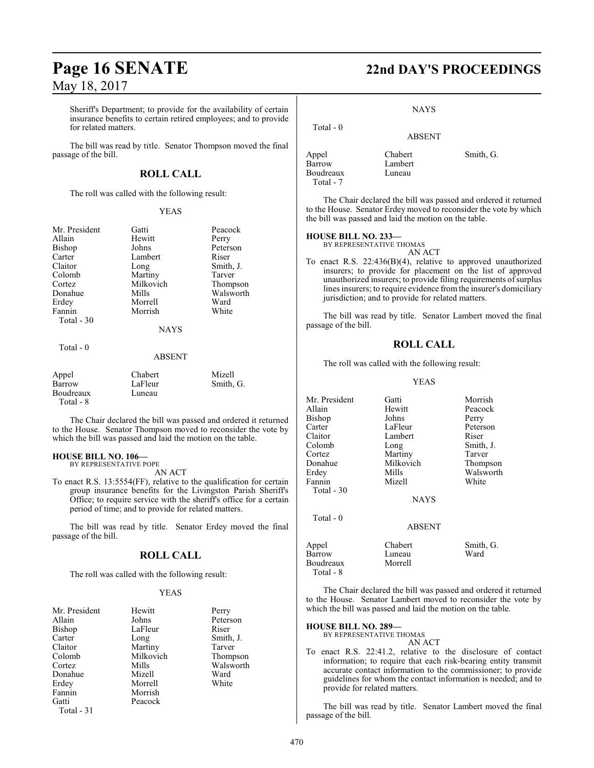Sheriff's Department; to provide for the availability of certain insurance benefits to certain retired employees; and to provide for related matters.

The bill was read by title. Senator Thompson moved the final passage of the bill.

## **ROLL CALL**

The roll was called with the following result:

#### YEAS

| Mr. President | Gatti       | Peacock   |
|---------------|-------------|-----------|
| Allain        | Hewitt      | Perry     |
| <b>Bishop</b> | Johns       | Peterson  |
| Carter        | Lambert     | Riser     |
| Claitor       | Long        | Smith, J. |
| Colomb        | Martiny     | Tarver    |
| Cortez        | Milkovich   | Thompson  |
| Donahue       | Mills       | Walsworth |
| Erdey         | Morrell     | Ward      |
| Fannin        | Morrish     | White     |
| Total $-30$   |             |           |
|               | <b>NAYS</b> |           |
| Total - 0     |             |           |
|               | ABSENT      |           |

| Appel     | Chabert | Mizell    |
|-----------|---------|-----------|
| Barrow    | LaFleur | Smith, G. |
| Boudreaux | Luneau  |           |
| Total - 8 |         |           |

The Chair declared the bill was passed and ordered it returned to the House. Senator Thompson moved to reconsider the vote by which the bill was passed and laid the motion on the table.

#### **HOUSE BILL NO. 106—** BY REPRESENTATIVE POPE

AN ACT

To enact R.S. 13:5554(FF), relative to the qualification for certain group insurance benefits for the Livingston Parish Sheriff's Office; to require service with the sheriff's office for a certain period of time; and to provide for related matters.

The bill was read by title. Senator Erdey moved the final passage of the bill.

## **ROLL CALL**

The roll was called with the following result:

#### YEAS

| Mr. President | Hewitt    | Perry     |
|---------------|-----------|-----------|
| Allain        | Johns     | Peterson  |
| Bishop        | LaFleur   | Riser     |
| Carter        | Long      | Smith, J. |
| Claitor       | Martiny   | Tarver    |
| Colomb        | Milkovich | Thompson  |
| Cortez        | Mills     | Walsworth |
| Donahue       | Mizell    | Ward      |
| Erdey         | Morrell   | White     |
| Fannin        | Morrish   |           |
| Gatti         | Peacock   |           |
| Total - 31    |           |           |

# **Page 16 SENATE 22nd DAY'S PROCEEDINGS**

#### NAYS

## ABSENT

Lambert

Appel Chabert Smith, G.<br>Barrow Lambert Smith, G. Boudreaux Luneau Total - 7

Total - 0

The Chair declared the bill was passed and ordered it returned to the House. Senator Erdey moved to reconsider the vote by which the bill was passed and laid the motion on the table.

### **HOUSE BILL NO. 233—**

BY REPRESENTATIVE THOMAS AN ACT

To enact R.S. 22:436(B)(4), relative to approved unauthorized insurers; to provide for placement on the list of approved unauthorized insurers; to provide filing requirements of surplus lines insurers; to require evidence fromthe insurer's domiciliary jurisdiction; and to provide for related matters.

The bill was read by title. Senator Lambert moved the final passage of the bill.

## **ROLL CALL**

The roll was called with the following result:

#### YEAS

Mr. President Gatti Morrish<br>Allain Hewitt Peacock Hewitt Peacock<br>Johns Perry Bishop Johns<br>Carter LaFleur Carter LaFleur Peterson<br>Claitor Lambert Riser Claitor Lambert<br>Colomb Long Colomb Long Smith, J.<br>
Cortez Martiny Tarver Cortez **Martiny** Tarver<br>
Donahue Milkovich Thompson Milkovich Erdey Mills Walsworth Fannin Total - 30 **NAYS**  Total - 0 ABSENT Appel Chabert Smith, G.<br>
Barrow Luneau Ward Barrow Luneau<br>Boudreaux Morrell

The Chair declared the bill was passed and ordered it returned to the House. Senator Lambert moved to reconsider the vote by which the bill was passed and laid the motion on the table.

#### **HOUSE BILL NO. 289—**

Boudreaux Total - 8

BY REPRESENTATIVE THOMAS

AN ACT

To enact R.S. 22:41.2, relative to the disclosure of contact information; to require that each risk-bearing entity transmit accurate contact information to the commissioner; to provide guidelines for whom the contact information is needed; and to provide for related matters.

The bill was read by title. Senator Lambert moved the final passage of the bill.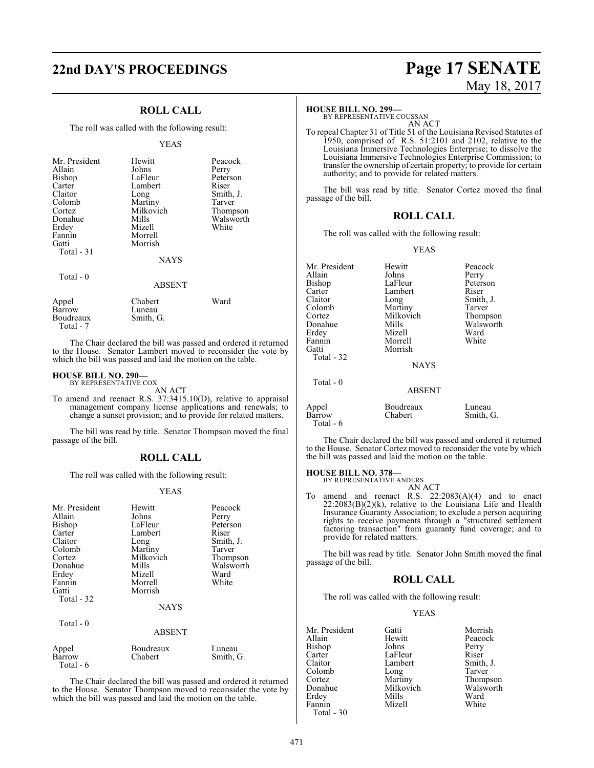# **22nd DAY'S PROCEEDINGS Page 17 SENATE**

#### **ROLL CALL**

The roll was called with the following result:

#### YEAS

| Mr. President<br>Allain<br>Bishop<br>Carter<br>Claitor<br>Colomb<br>Cortez<br>Donahue<br>Erdey<br>Fannin<br>Gatti<br>Total $-31$<br>Total $-0$ | Hewitt<br>Johns<br>LaFleur<br>Lambert<br>Long<br>Martiny<br>Milkovich<br>Mills<br>Mizell<br>Morrell<br>Morrish<br><b>NAYS</b><br><b>ABSENT</b> | Peacock<br>Perry<br>Peterson<br>Riser<br>Smith, J.<br>Tarver<br>Thompson<br>Walsworth<br>White |
|------------------------------------------------------------------------------------------------------------------------------------------------|------------------------------------------------------------------------------------------------------------------------------------------------|------------------------------------------------------------------------------------------------|
| Appel<br>Barrow                                                                                                                                | Chabert<br>Luneau                                                                                                                              | Ward                                                                                           |

The Chair declared the bill was passed and ordered it returned to the House. Senator Lambert moved to reconsider the vote by which the bill was passed and laid the motion on the table.

#### **HOUSE BILL NO. 290—**

Boudreaux Smith, G.

Total - 7

Total - 6

BY REPRESENTATIVE COX AN ACT

To amend and reenact R.S. 37:3415.10(D), relative to appraisal management company license applications and renewals; to change a sunset provision; and to provide for related matters.

The bill was read by title. Senator Thompson moved the final passage of the bill.

#### **ROLL CALL**

The roll was called with the following result:

#### YEAS

| Mr. President<br>Allain<br>Bishop<br>Carter<br>Claitor<br>Colomb<br>Cortez<br>Donahue<br>Erdey<br>Fannin<br>Gatti | Hewitt<br>Johns<br>LaFleur<br>Lambert<br>Long<br>Martiny<br>Milkovich<br>Mills<br>Mizell<br>Morrell<br>Morrish | Peacock<br>Perry<br>Peterson<br>Riser<br>Smith, J.<br>Tarver<br>Thompson<br>Walsworth<br>Ward<br>White |
|-------------------------------------------------------------------------------------------------------------------|----------------------------------------------------------------------------------------------------------------|--------------------------------------------------------------------------------------------------------|
| Total - 32                                                                                                        | <b>NAYS</b>                                                                                                    |                                                                                                        |
| Total $-0$                                                                                                        | <b>ABSENT</b>                                                                                                  |                                                                                                        |
| Appel<br>Barrow                                                                                                   | Boudreaux<br>Chabert                                                                                           | Luneau<br>Smith, G.                                                                                    |

The Chair declared the bill was passed and ordered it returned to the House. Senator Thompson moved to reconsider the vote by which the bill was passed and laid the motion on the table.

# May 18, 2017

#### **HOUSE BILL NO. 299—**

BY REPRESENTATIVE COUSSAN AN ACT

To repeal Chapter 31 of Title 51 of the Louisiana Revised Statutes of 1950, comprised of R.S. 51:2101 and 2102, relative to the Louisiana Immersive Technologies Enterprise; to dissolve the Louisiana Immersive Technologies Enterprise Commission; to transfer the ownership of certain property; to provide for certain authority; and to provide for related matters.

The bill was read by title. Senator Cortez moved the final passage of the bill.

#### **ROLL CALL**

The roll was called with the following result:

#### YEAS

| Mr. President<br>Allain<br><b>Bishop</b> | Hewitt<br>Johns<br>LaFleur | Peacock<br>Perry<br>Peterson |
|------------------------------------------|----------------------------|------------------------------|
| Carter                                   | Lambert                    | Riser                        |
| Claitor<br>Colomb                        | Long<br>Martiny            | Smith, J.<br>Tarver          |
| Cortez                                   | Milkovich                  | Thompson                     |
| Donahue                                  | Mills                      | Walsworth                    |
| Erdey                                    | Mizell                     | Ward                         |
| Fannin                                   | Morrell                    | White                        |
| Gatti                                    | Morrish                    |                              |
| Total - 32                               |                            |                              |
|                                          | <b>NAYS</b>                |                              |
| Total - 0                                |                            |                              |
|                                          | <b>ABSENT</b>              |                              |
| Appel<br>Barrow<br>Total - 6             | Boudreaux<br>Chabert       | Luneau<br>Smith, G.          |

The Chair declared the bill was passed and ordered it returned to the House. Senator Cortez moved to reconsider the vote by which the bill was passed and laid the motion on the table.

#### **HOUSE BILL NO. 378—**

BY REPRESENTATIVE ANDERS AN ACT

To amend and reenact R.S. 22:2083(A)(4) and to enact 22:2083(B)(2)(k), relative to the Louisiana Life and Health Insurance Guaranty Association; to exclude a person acquiring rights to receive payments through a "structured settlement factoring transaction" from guaranty fund coverage; and to provide for related matters.

The bill was read by title. Senator John Smith moved the final passage of the bill.

#### **ROLL CALL**

The roll was called with the following result:

#### YEAS

| Mr. President | Gatti     | Morrish   |
|---------------|-----------|-----------|
| Allain        | Hewitt    | Peacock   |
| Bishop        | Johns     | Perry     |
| Carter        | LaFleur   | Riser     |
| Claitor       | Lambert   | Smith, J. |
| Colomb        | Long      | Tarver    |
| Cortez        | Martiny   | Thompson  |
| Donahue       | Milkovich | Walsworth |
| Erdey         | Mills     | Ward      |
| Fannin        | Mizell    | White     |
| Total - 30    |           |           |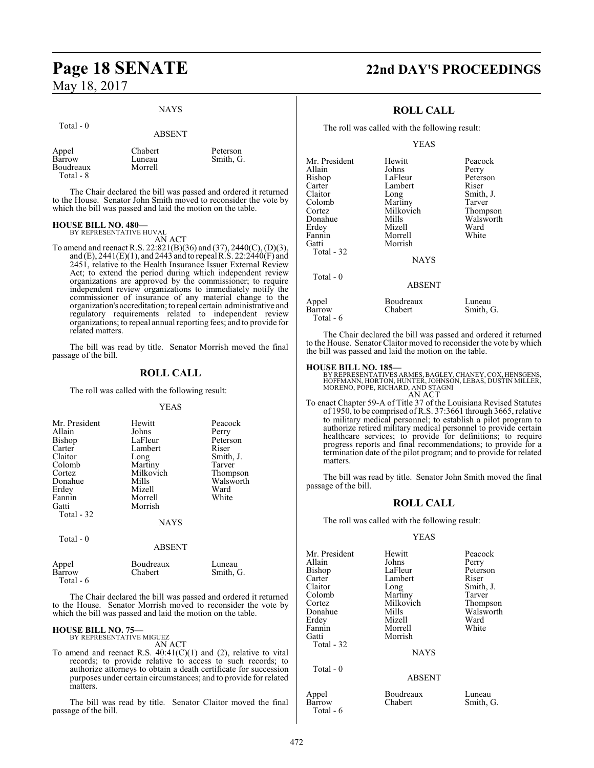Total - 0

#### NAYS

|                                           | <b>ABSENT</b>                |                       |
|-------------------------------------------|------------------------------|-----------------------|
| Appel<br>Barrow<br>Boudreaux<br>Total - 8 | Chabert<br>Luneau<br>Morrell | Peterson<br>Smith, G. |

The Chair declared the bill was passed and ordered it returned to the House. Senator John Smith moved to reconsider the vote by which the bill was passed and laid the motion on the table.

#### **HOUSE BILL NO. 480—**

BY REPRESENTATIVE HUVAL AN ACT

To amend and reenact R.S. 22:821(B)(36) and (37), 2440(C), (D)(3), and (E), 2441(E)(1), and 2443 and to repeal R.S. 22:2440(F) and 2451, relative to the Health Insurance Issuer External Review Act; to extend the period during which independent review organizations are approved by the commissioner; to require independent review organizations to immediately notify the commissioner of insurance of any material change to the organization's accreditation; to repeal certain administrative and regulatory requirements related to independent review organizations; to repeal annual reporting fees; and to provide for related matters.

The bill was read by title. Senator Morrish moved the final passage of the bill.

#### **ROLL CALL**

The roll was called with the following result:

#### YEAS

| Mr. President<br>Allain<br>Bishop<br>Carter<br>Claitor<br>Colomb<br>Cortez<br>Donahue<br>Erdey<br>Fannin<br>Gatti<br>Total - 32 | Hewitt<br>Johns<br>LaFleur<br>Lambert<br>Long<br>Martiny<br>Milkovich<br>Mills<br>Mizell<br>Morrell<br>Morrish | Peacock<br>Perry<br>Peterson<br>Riser<br>Smith, J.<br>Tarver<br>Thompson<br>Walsworth<br>Ward<br>White |
|---------------------------------------------------------------------------------------------------------------------------------|----------------------------------------------------------------------------------------------------------------|--------------------------------------------------------------------------------------------------------|
|                                                                                                                                 | <b>NAYS</b>                                                                                                    |                                                                                                        |
| Total - 0                                                                                                                       | ABSENT                                                                                                         |                                                                                                        |

| Appel     | Boudreaux | Luneau    |
|-----------|-----------|-----------|
| Barrow    | Chabert   | Smith, G. |
| Total - 6 |           |           |

The Chair declared the bill was passed and ordered it returned to the House. Senator Morrish moved to reconsider the vote by which the bill was passed and laid the motion on the table.

#### **HOUSE BILL NO. 75—** BY REPRESENTATIVE MIGUEZ

AN ACT

To amend and reenact R.S. 40:41(C)(1) and (2), relative to vital records; to provide relative to access to such records; to authorize attorneys to obtain a death certificate for succession purposes under certain circumstances; and to provide for related matters.

The bill was read by title. Senator Claitor moved the final passage of the bill.

# **Page 18 SENATE 22nd DAY'S PROCEEDINGS**

## **ROLL CALL**

The roll was called with the following result:

#### YEAS

| Mr. President                 | Hewitt                            | Peacock   |
|-------------------------------|-----------------------------------|-----------|
| Allain                        | Johns                             | Perry     |
| Bishop                        | LaFleur                           | Peterson  |
| Carter                        | Lambert                           | Riser     |
| Claitor                       | Long                              | Smith, J. |
| Colomb                        | Martiny                           | Tarver    |
| Cortez                        | Milkovich                         | Thompson  |
| Donahue                       | Mills                             | Walsworth |
| Erdey                         | Mizell                            | Ward      |
| Fannin<br>Gatti<br>Total - 32 | Morrell<br>Morrish<br><b>NAYS</b> | White     |
| Total $-0$                    | <b>ABSENT</b>                     |           |
| Appel                         | Boudreaux                         | Luneau    |
| Barrow                        | Chabert                           | Smith, G. |

The Chair declared the bill was passed and ordered it returned to the House. Senator Claitor moved to reconsider the vote by which the bill was passed and laid the motion on the table.

#### **HOUSE BILL NO. 185—**

Total - 6

BY REPRESENTATIVES ARMES, BAGLEY, CHANEY, COX, HENSGENS,<br>HOFFMANN, HORTON, HUNTER, JOHNSON, LEBAS, DUSTIN MILLER,<br>MORENO, POPE, RICHARD, AND STAGNI AN ACT

To enact Chapter 59-A of Title 37 of the Louisiana Revised Statutes of 1950, to be comprised of R.S. 37:3661 through 3665, relative to military medical personnel; to establish a pilot program to authorize retired military medical personnel to provide certain healthcare services; to provide for definitions; to require progress reports and final recommendations; to provide for a termination date of the pilot program; and to provide for related matters.

The bill was read by title. Senator John Smith moved the final passage of the bill.

#### **ROLL CALL**

The roll was called with the following result:

#### YEAS

| Mr. President       | Hewitt                 | Peacock   |
|---------------------|------------------------|-----------|
| Allain              | Johns                  | Perry     |
| Bishop              | LaFleur                | Peterson  |
| Carter              | Lambert                | Riser     |
| Claitor             | Long                   | Smith, J. |
| Colomb              | Martiny                | Tarver    |
| Cortez              | Milkovich              | Thompson  |
| Donahue             | Mills                  | Walsworth |
| Erdey               | Mizell                 | Ward      |
| Fannin              | Morrell                | White     |
| Gatti<br>Total - 32 | Morrish<br><b>NAYS</b> |           |
| Total - 0           | <b>ABSENT</b>          |           |
| Appel               | Boudreaux              | Luneau    |
| Barrow              | Chabert                | Smith, G. |

Total - 6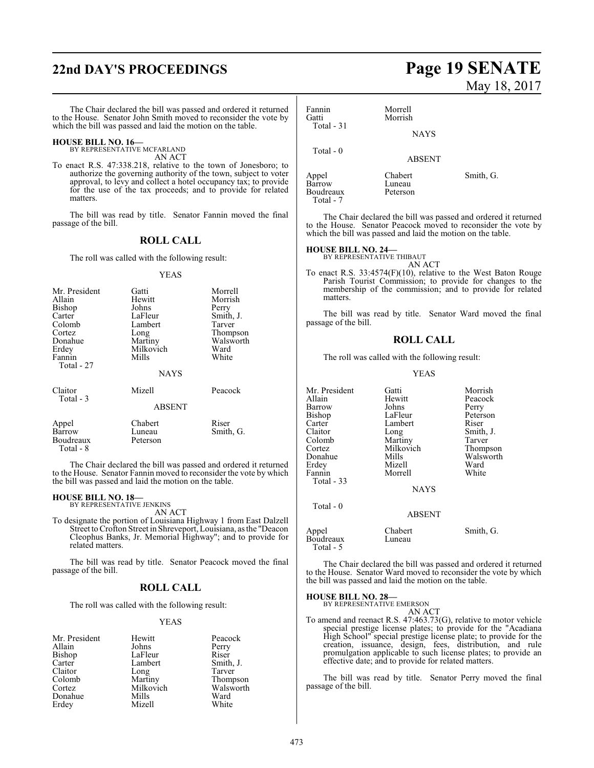# **22nd DAY'S PROCEEDINGS Page 19 SENATE**

The Chair declared the bill was passed and ordered it returned to the House. Senator John Smith moved to reconsider the vote by which the bill was passed and laid the motion on the table.

#### **HOUSE BILL NO. 16—** BY REPRESENTATIVE MCFARLAND

AN ACT

To enact R.S. 47:338.218, relative to the town of Jonesboro; to authorize the governing authority of the town, subject to voter approval, to levy and collect a hotel occupancy tax; to provide for the use of the tax proceeds; and to provide for related matters.

The bill was read by title. Senator Fannin moved the final passage of the bill.

#### **ROLL CALL**

The roll was called with the following result:

#### YEAS

| Mr. President<br>Allain<br>Bishop<br>Carter<br>Colomb<br>Cortez<br>Donahue<br>Erdey<br>Fannin<br>Total - 27 | Gatti<br>Hewitt<br>Johns<br>LaFleur<br>Lambert<br>Long<br>Martiny<br>Milkovich<br>Mills | Morrell<br>Morrish<br>Perry<br>Smith, J.<br>Tarver<br>Thompson<br>Walsworth<br>Ward<br>White |
|-------------------------------------------------------------------------------------------------------------|-----------------------------------------------------------------------------------------|----------------------------------------------------------------------------------------------|
|                                                                                                             | <b>NAYS</b>                                                                             |                                                                                              |
| Claitor<br>Total - 3                                                                                        | Mizell                                                                                  | Peacock                                                                                      |
|                                                                                                             | <b>ABSENT</b>                                                                           |                                                                                              |
| Appel<br>Barrow<br>Boudreaux<br>Total - 8                                                                   | Chabert<br>Luneau<br>Peterson                                                           | Riser<br>Smith, G.                                                                           |

The Chair declared the bill was passed and ordered it returned to the House. Senator Fannin moved to reconsider the vote by which the bill was passed and laid the motion on the table.

# **HOUSE BILL NO. 18—** BY REPRESENTATIVE JENKINS

AN ACT

To designate the portion of Louisiana Highway 1 from East Dalzell Street to Crofton Street in Shreveport, Louisiana, as the "Deacon Cleophus Banks, Jr. Memorial Highway"; and to provide for related matters.

The bill was read by title. Senator Peacock moved the final passage of the bill.

#### **ROLL CALL**

The roll was called with the following result:

#### YEAS

| Mr. President | Hewitt    | Peacoo |
|---------------|-----------|--------|
| Allain        | Johns     | Perry  |
| Bishop        | LaFleur   | Riser  |
| Carter        | Lambert   | Smith, |
| Claitor       | Long      | Tarver |
| Colomb        | Martiny   | Thomp  |
| Cortez        | Milkovich | Walsw  |
| Donahue       | Mills     | Ward   |
| Erdey         | Mizell    | White  |
|               |           |        |

Peacock<br>Perry ert Smith, J.<br>Tarver y Thompson<br>vich Walsworth Walsworth<br>Ward

# May 18, 2017

| Fannin<br>Gatti<br>Total $-31$      | Morrell<br>Morrish<br><b>NAYS</b> |           |
|-------------------------------------|-----------------------------------|-----------|
| Total $-0$                          | <b>ABSENT</b>                     |           |
| Appel<br><b>Barrow</b><br>Boudreaux | Chabert<br>Luneau<br>Peterson     | Smith, G. |

The Chair declared the bill was passed and ordered it returned to the House. Senator Peacock moved to reconsider the vote by which the bill was passed and laid the motion on the table.

# **HOUSE BILL NO. 24—** BY REPRESENTATIVE THIBAUT

Boudreaux Total - 7

AN ACT

To enact R.S. 33:4574(F)(10), relative to the West Baton Rouge Parish Tourist Commission; to provide for changes to the membership of the commission; and to provide for related matters.

The bill was read by title. Senator Ward moved the final passage of the bill.

#### **ROLL CALL**

The roll was called with the following result:

#### YEAS

| Mr. President          | Gatti         | Morrish   |
|------------------------|---------------|-----------|
| Allain                 | Hewitt        | Peacock   |
| Barrow                 | Johns         | Perry     |
| Bishop                 | LaFleur       | Peterson  |
| Carter                 | Lambert       | Riser     |
| Claitor                | Long          | Smith, J. |
| Colomb                 | Martiny       | Tarver    |
| Cortez                 | Milkovich     | Thompson  |
| Donahue                | Mills         | Walsworth |
| Erdey                  | Mizell        | Ward      |
| Fannin                 | Morrell       | White     |
| Total - 33             |               |           |
|                        | <b>NAYS</b>   |           |
| Total - 0              |               |           |
|                        | <b>ABSENT</b> |           |
| Appel                  | Chabert       | Smith, G. |
| Boudreaux<br>Total - 5 | Luneau        |           |

The Chair declared the bill was passed and ordered it returned to the House. Senator Ward moved to reconsider the vote by which the bill was passed and laid the motion on the table.

#### **HOUSE BILL NO. 28—**

BY REPRESENTATIVE EMERSON AN ACT

To amend and reenact R.S. 47:463.73(G), relative to motor vehicle special prestige license plates; to provide for the "Acadiana High School" special prestige license plate; to provide for the creation, issuance, design, fees, distribution, and rule promulgation applicable to such license plates; to provide an effective date; and to provide for related matters.

The bill was read by title. Senator Perry moved the final passage of the bill.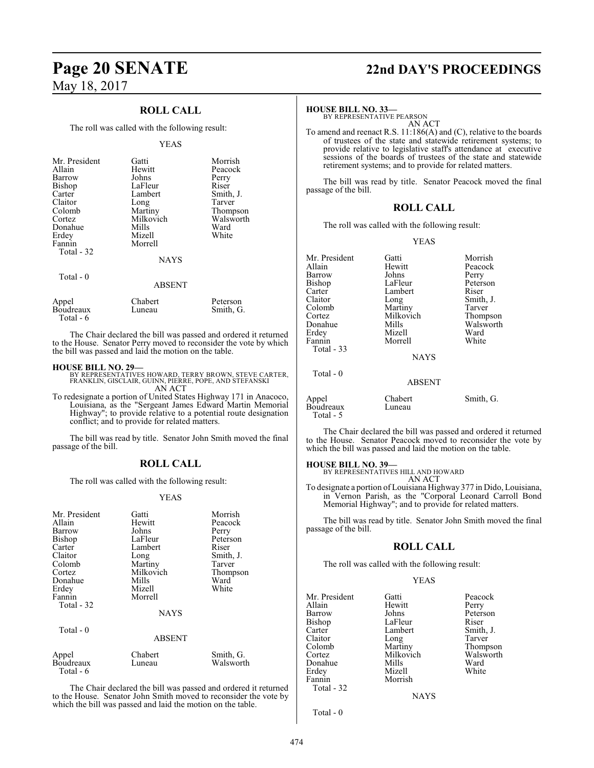## **ROLL CALL**

The roll was called with the following result:

#### YEAS

| Mr. President<br>Allain<br>Barrow<br><b>Bishop</b><br>Carter<br>Claitor<br>Colomb<br>Cortez<br>Donahue<br>Erdey<br>Fannin<br>Total - 32 | Gatti<br>Hewitt<br>Johns<br>LaFleur<br>Lambert<br>Long<br>Martiny<br>Milkovich<br>Mills<br>Mizell<br>Morrell<br><b>NAYS</b> | Morrish<br>Peacock<br>Perry<br>Riser<br>Smith, J.<br>Tarver<br>Thompson<br>Walsworth<br>Ward<br>White |
|-----------------------------------------------------------------------------------------------------------------------------------------|-----------------------------------------------------------------------------------------------------------------------------|-------------------------------------------------------------------------------------------------------|
| Total - 0                                                                                                                               | <b>ABSENT</b>                                                                                                               |                                                                                                       |
| Appel<br>Boudreaux                                                                                                                      | Chabert<br>Luneau                                                                                                           | Peterson<br>Smith, G.                                                                                 |

Total - 6

The Chair declared the bill was passed and ordered it returned to the House. Senator Perry moved to reconsider the vote by which the bill was passed and laid the motion on the table.

#### **HOUSE BILL NO. 29—**

BY REPRESENTATIVES HOWARD, TERRY BROWN, STEVE CARTER, FRANKLIN, GISCLAIR, GUINN, PIERRE, POPE, AND STEFANSKI AN ACT

To redesignate a portion of United States Highway 171 in Anacoco, Louisiana, as the "Sergeant James Edward Martin Memorial Highway"; to provide relative to a potential route designation conflict; and to provide for related matters.

The bill was read by title. Senator John Smith moved the final passage of the bill.

## **ROLL CALL**

The roll was called with the following result:

#### YEAS

| Mr. President<br>Allain<br>Barrow<br>Bishop<br>Carter<br>Claitor<br>Colomb<br>Cortez<br>Donahue | Gatti<br>Hewitt<br>Johns<br>LaFleur<br>Lambert<br>Long<br>Martiny<br>Milkovich<br>Mills | Morrish<br>Peacock<br>Perry<br>Peterson<br>Riser<br>Smith, J.<br>Tarver<br>Thompson<br>Ward |
|-------------------------------------------------------------------------------------------------|-----------------------------------------------------------------------------------------|---------------------------------------------------------------------------------------------|
| Erdey                                                                                           | Mizell                                                                                  | White                                                                                       |
| Fannin<br>Total - 32                                                                            | Morrell                                                                                 |                                                                                             |
|                                                                                                 | <b>NAYS</b>                                                                             |                                                                                             |
| Total - 0                                                                                       | <b>ABSENT</b>                                                                           |                                                                                             |
| Appel<br>Boudreaux<br>Total - 6                                                                 | Chabert<br>Luneau                                                                       | Smith, G.<br>Walsworth                                                                      |

The Chair declared the bill was passed and ordered it returned to the House. Senator John Smith moved to reconsider the vote by which the bill was passed and laid the motion on the table.

# **Page 20 SENATE 22nd DAY'S PROCEEDINGS**

#### **HOUSE BILL NO. 33—**

BY REPRESENTATIVE PEARSON AN ACT

To amend and reenact R.S. 11:186(A) and (C), relative to the boards of trustees of the state and statewide retirement systems; to provide relative to legislative staff's attendance at executive sessions of the boards of trustees of the state and statewide retirement systems; and to provide for related matters.

The bill was read by title. Senator Peacock moved the final passage of the bill.

### **ROLL CALL**

The roll was called with the following result:

YEAS

| Mr. President<br>Allain<br>Barrow<br>Bishop<br>Carter<br>Claitor<br>Colomb<br>Cortez<br>Donahue | Gatti<br>Hewitt<br>Johns<br>LaFleur<br>Lambert<br>Long<br>Martiny<br>Milkovich<br>Mills | Morrish<br>Peacock<br>Perry<br>Peterson<br>Riser<br>Smith, J.<br>Tarver<br>Thompson<br>Walsworth |
|-------------------------------------------------------------------------------------------------|-----------------------------------------------------------------------------------------|--------------------------------------------------------------------------------------------------|
| Erdey<br>Fannin<br>Total - 33                                                                   | Mizell<br>Morrell                                                                       | Ward<br>White                                                                                    |
|                                                                                                 | <b>NAYS</b>                                                                             |                                                                                                  |
| Total $-0$                                                                                      | <b>ABSENT</b>                                                                           |                                                                                                  |
| Appel                                                                                           | Chabert                                                                                 | Smith, G.                                                                                        |

The Chair declared the bill was passed and ordered it returned to the House. Senator Peacock moved to reconsider the vote by which the bill was passed and laid the motion on the table.

Boudreaux Luneau

Total - 5

**HOUSE BILL NO. 39—** BY REPRESENTATIVES HILL AND HOWARD AN ACT

To designate a portion of Louisiana Highway 377 in Dido, Louisiana, in Vernon Parish, as the "Corporal Leonard Carroll Bond Memorial Highway"; and to provide for related matters.

The bill was read by title. Senator John Smith moved the final passage of the bill.

#### **ROLL CALL**

The roll was called with the following result:

Mizell

#### YEAS

Mr. President Gatti Peacock<br>Allain Hewitt Perry Allain Hewitt<br>Barrow Johns Barrow Johns Peterson<br>Bishop LaFleur Riser Bishop LaFleur Riser<br>Carter Lambert Smith, J. Carter Lambert Smith,<br>Claitor Long Tarver Claitor Long<br>Colomb Martiny Colomb Martiny Thompson<br>
Cortez Milkovich Walsworth Donahue Mills Ward<br>Erdev Mizell White Fannin Morrish Total - 32

Milkovich Walsworth<br>
Mills Ward

**NAYS** 

Total - 0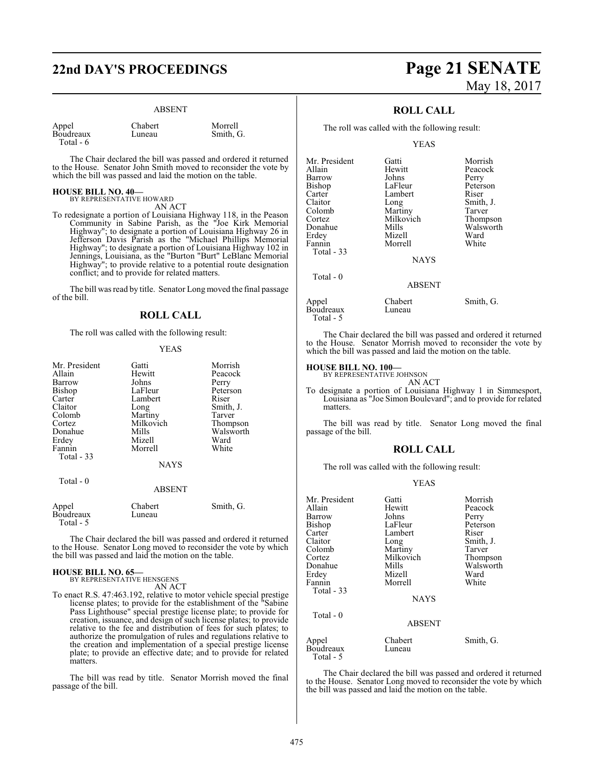# **22nd DAY'S PROCEEDINGS Page 21 SENATE**

#### ABSENT

| Appel     |  |
|-----------|--|
| Boudreaux |  |
| Total - 6 |  |

Chabert Morrell<br>
Luneau Smith (

Smith, G.

The Chair declared the bill was passed and ordered it returned to the House. Senator John Smith moved to reconsider the vote by which the bill was passed and laid the motion on the table.

#### **HOUSE BILL NO. 40—**

BY REPRESENTATIVE HOWARD AN ACT

To redesignate a portion of Louisiana Highway 118, in the Peason Community in Sabine Parish, as the "Joe Kirk Memorial Highway"; to designate a portion of Louisiana Highway 26 in Jefferson Davis Parish as the "Michael Phillips Memorial Highway"; to designate a portion of Louisiana Highway 102 in Jennings, Louisiana, as the "Burton "Burt" LeBlanc Memorial Highway"; to provide relative to a potential route designation conflict; and to provide for related matters.

The bill was read by title. Senator Long moved the final passage of the bill.

### **ROLL CALL**

The roll was called with the following result:

#### YEAS

| Mr. President      | Gatti             | Morrish   |
|--------------------|-------------------|-----------|
| Allain             | Hewitt            | Peacock   |
| Barrow             | Johns             | Perry     |
| <b>Bishop</b>      | LaFleur           | Peterson  |
| Carter             | Lambert           | Riser     |
| Claitor            | Long              | Smith, J. |
| Colomb             | Martiny           | Tarver    |
| Cortez             | Milkovich         | Thompson  |
| Donahue            | Mills             | Walsworth |
| Erdey              | Mizell            | Ward      |
| Fannin             | Morrell           | White     |
| Total $-33$        |                   |           |
|                    | <b>NAYS</b>       |           |
| Total - 0          |                   |           |
|                    | <b>ABSENT</b>     |           |
| Appel<br>Boudreaux | Chabert<br>Luneau | Smith, G. |

The Chair declared the bill was passed and ordered it returned to the House. Senator Long moved to reconsider the vote by which the bill was passed and laid the motion on the table.

#### **HOUSE BILL NO. 65—** BY REPRESENTATIVE HENSGENS

Total - 5

AN ACT

To enact R.S. 47:463.192, relative to motor vehicle special prestige license plates; to provide for the establishment of the "Sabine Pass Lighthouse" special prestige license plate; to provide for creation, issuance, and design of such license plates; to provide relative to the fee and distribution of fees for such plates; to authorize the promulgation of rules and regulations relative to the creation and implementation of a special prestige license plate; to provide an effective date; and to provide for related matters.

The bill was read by title. Senator Morrish moved the final passage of the bill.

# May 18, 2017

## **ROLL CALL**

The roll was called with the following result:

#### YEAS

| Mr. President | Gatti         | Morrish   |
|---------------|---------------|-----------|
| Allain        | Hewitt        | Peacock   |
| Barrow        | Johns         | Perry     |
| Bishop        | LaFleur       | Peterson  |
| Carter        | Lambert       | Riser     |
| Claitor       | Long          | Smith, J. |
| Colomb        | Martiny       | Tarver    |
| Cortez        | Milkovich     | Thompson  |
| Donahue       | Mills         | Walsworth |
| Erdey         | Mizell        | Ward      |
| Fannin        | Morrell       | White     |
| Total - 33    |               |           |
|               | <b>NAYS</b>   |           |
| Total $-0$    |               |           |
|               | <b>ABSENT</b> |           |
| Appel         | Chabert       | Smith, G. |
| Boudreaux     | Luneau        |           |

 Total - 5 The Chair declared the bill was passed and ordered it returned to the House. Senator Morrish moved to reconsider the vote by which the bill was passed and laid the motion on the table.

**HOUSE BILL NO. 100—** BY REPRESENTATIVE JOHNSON AN ACT

To designate a portion of Louisiana Highway 1 in Simmesport, Louisiana as "Joe Simon Boulevard"; and to provide for related matters.

The bill was read by title. Senator Long moved the final passage of the bill.

#### **ROLL CALL**

The roll was called with the following result:

#### YEAS

| Mr. President<br>Allain         | Gatti<br>Hewitt   | Morrish<br>Peacock |
|---------------------------------|-------------------|--------------------|
| Barrow                          | Johns             | Perry              |
| Bishop                          | LaFleur           | Peterson           |
| Carter                          | Lambert           | Riser              |
| Claitor                         | Long              | Smith, J.          |
| Colomb                          | Martiny           | Tarver             |
| Cortez                          | Milkovich         | Thompson           |
| Donahue                         | Mills             | Walsworth          |
| Erdey                           | Mizell            | Ward               |
| Fannin                          | Morrell           | White              |
| Total - 33                      |                   |                    |
|                                 | <b>NAYS</b>       |                    |
| Total $-0$                      |                   |                    |
|                                 | <b>ABSENT</b>     |                    |
| Appel<br>Boudreaux<br>Total - 5 | Chabert<br>Luneau | Smith, G.          |
|                                 |                   |                    |

The Chair declared the bill was passed and ordered it returned to the House. Senator Long moved to reconsider the vote by which the bill was passed and laid the motion on the table.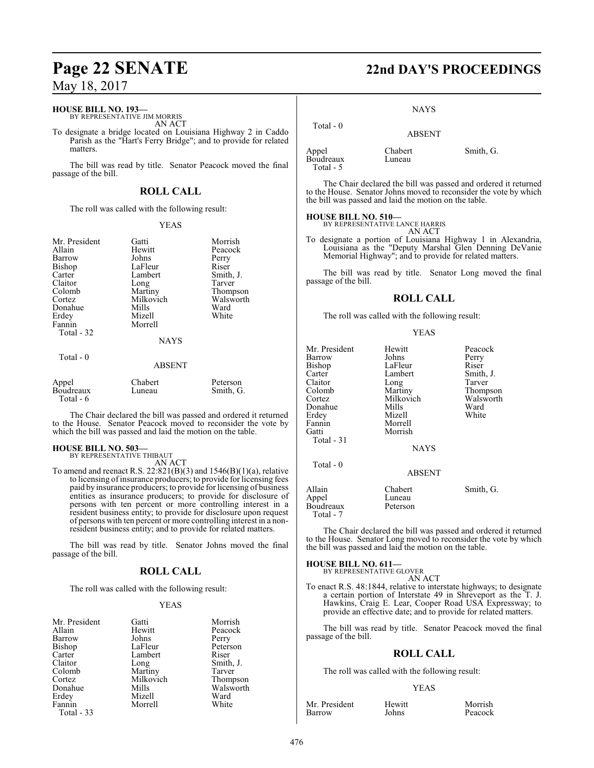#### **HOUSE BILL NO. 193—**

BY REPRESENTATIVE JIM MORRIS AN ACT

To designate a bridge located on Louisiana Highway 2 in Caddo Parish as the "Hart's Ferry Bridge"; and to provide for related matters.

The bill was read by title. Senator Peacock moved the final passage of the bill.

## **ROLL CALL**

The roll was called with the following result:

#### YEAS

| Mr. President<br>Allain<br>Barrow<br><b>Bishop</b><br>Carter<br>Claitor<br>Colomb<br>Cortez<br>Donahue<br>Erdey | Gatti<br>Hewitt<br>Johns<br>LaFleur<br>Lambert<br>Long<br>Martiny<br>Milkovich<br>Mills<br>Mizell | Morrish<br>Peacock<br>Perry<br>Riser<br>Smith, J.<br>Tarver<br>Thompson<br>Walsworth<br>Ward<br>White |
|-----------------------------------------------------------------------------------------------------------------|---------------------------------------------------------------------------------------------------|-------------------------------------------------------------------------------------------------------|
| Fannin<br>Total - 32<br>Total $-0$                                                                              | Morrell<br><b>NAYS</b>                                                                            |                                                                                                       |
| Appel<br>Boudreaux                                                                                              | <b>ABSENT</b><br>Chabert<br>Luneau                                                                | Peterson<br>Smith, G.                                                                                 |

Total - 6

The Chair declared the bill was passed and ordered it returned to the House. Senator Peacock moved to reconsider the vote by which the bill was passed and laid the motion on the table.

#### **HOUSE BILL NO. 503—** BY REPRESENTATIVE THIBAUT

AN ACT

To amend and reenact R.S.  $22:821(B)(3)$  and  $1546(B)(1)(a)$ , relative to licensing of insurance producers; to provide for licensing fees paid by insurance producers; to provide for licensing of business entities as insurance producers; to provide for disclosure of persons with ten percent or more controlling interest in a resident business entity; to provide for disclosure upon request of persons with ten percent or more controlling interest in a nonresident business entity; and to provide for related matters.

The bill was read by title. Senator Johns moved the final passage of the bill.

## **ROLL CALL**

The roll was called with the following result:

#### YEAS

| Mr. President | Gatti     | Morris |
|---------------|-----------|--------|
| Allain        | Hewitt    | Peacoo |
| Barrow        | Johns     | Perry  |
| Bishop        | LaFleur   | Peters |
| Carter        | Lambert   | Riser  |
| Claitor       | Long      | Smith, |
| Colomb        | Martiny   | Tarver |
| Cortez        | Milkovich | Thomp  |
| Donahue       | Mills     | Walsw  |
| Erdey         | Mizell    | Ward   |
| Fannin        | Morrell   | White  |
|               |           |        |

Total - 33

Peacock Perry Peterson<br>Riser Smith, J.<br>Tarver ch Thompson Walsworth<br>Ward

Morrish

# **Page 22 SENATE 22nd DAY'S PROCEEDINGS**

#### **NAYS**

ABSENT

 Total - 0 Appel Chabert Smith, G.<br>Boudreaux Luneau Boudreaux Total - 5

The Chair declared the bill was passed and ordered it returned to the House. Senator Johns moved to reconsider the vote by which the bill was passed and laid the motion on the table.

# **HOUSE BILL NO. 510—** BY REPRESENTATIVE LANCE HARRIS

AN ACT

To designate a portion of Louisiana Highway 1 in Alexandria, Louisiana as the "Deputy Marshal Glen Denning DeVanie Memorial Highway"; and to provide for related matters.

The bill was read by title. Senator Long moved the final passage of the bill.

#### **ROLL CALL**

The roll was called with the following result:

#### YEAS

| Mr. President<br>Barrow<br>Bishop<br>Carter<br>Claitor<br>Colomb<br>Cortez<br>Donahue<br>Erdey<br>Fannin<br>Gatti<br>Total - 31 | Hewitt<br>Johns<br>LaFleur<br>Lambert<br>Long<br>Martiny<br>Milkovich<br>Mills<br>Mizell<br>Morrell<br>Morrish<br><b>NAYS</b> | Peacock<br>Perry<br>Riser<br>Smith, J.<br>Tarver<br>Thompson<br>Walsworth<br>Ward<br>White |
|---------------------------------------------------------------------------------------------------------------------------------|-------------------------------------------------------------------------------------------------------------------------------|--------------------------------------------------------------------------------------------|
| Total - 0                                                                                                                       | <b>ABSENT</b>                                                                                                                 |                                                                                            |
| Allain<br>Appel<br>Boudreaux<br>Total - 7                                                                                       | Chabert<br>Luneau<br>Peterson                                                                                                 | Smith, G.                                                                                  |

The Chair declared the bill was passed and ordered it returned to the House. Senator Long moved to reconsider the vote by which the bill was passed and laid the motion on the table.

**HOUSE BILL NO. 611—** BY REPRESENTATIVE GLOVER

### AN ACT

To enact R.S. 48:1844, relative to interstate highways; to designate a certain portion of Interstate 49 in Shreveport as the T. J. Hawkins, Craig E. Lear, Cooper Road USA Expressway; to provide an effective date; and to provide for related matters.

The bill was read by title. Senator Peacock moved the final passage of the bill.

#### **ROLL CALL**

The roll was called with the following result:

#### YEAS

Mr. President Hewitt Morrish<br>
Heart Hohns Peacock Barrow Johns Peacock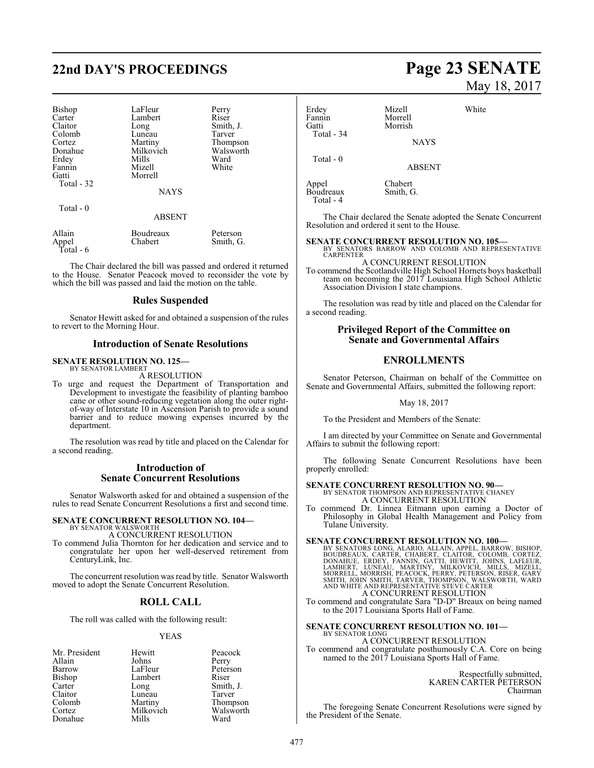# **22nd DAY'S PROCEEDINGS Page 23 SENATE**

| <b>Bishop</b><br>Carter<br>Claitor<br>Colomb<br>Cortez<br>Donahue<br>Erdey<br>Fannin<br>Gatti<br>Total - 32 | LaFleur<br>Lambert<br>Long<br>Luneau<br>Martiny<br>Milkovich<br>Mills<br>Mizell<br>Morrell | Perry<br>Riser<br>Smith, J.<br>Tarver<br>Thompson<br>Walsworth<br>Ward<br>White |
|-------------------------------------------------------------------------------------------------------------|--------------------------------------------------------------------------------------------|---------------------------------------------------------------------------------|
|                                                                                                             | <b>NAYS</b>                                                                                |                                                                                 |
| Total $-0$                                                                                                  | ABSENT                                                                                     |                                                                                 |
| Alloin                                                                                                      | $\mathbf{p}_{\alpha}$ udraauv                                                              | $D_{\alpha t \alpha r \alpha \alpha n}$                                         |

Allain Boudreaux Peterson Appel Chabert Smith, G. Total - 6

The Chair declared the bill was passed and ordered it returned to the House. Senator Peacock moved to reconsider the vote by which the bill was passed and laid the motion on the table.

#### **Rules Suspended**

Senator Hewitt asked for and obtained a suspension of the rules to revert to the Morning Hour.

#### **Introduction of Senate Resolutions**

#### **SENATE RESOLUTION NO. 125—** BY SENATOR LAMBERT

A RESOLUTION

To urge and request the Department of Transportation and Development to investigate the feasibility of planting bamboo cane or other sound-reducing vegetation along the outer rightof-way of Interstate 10 in Ascension Parish to provide a sound barrier and to reduce mowing expenses incurred by the department.

The resolution was read by title and placed on the Calendar for a second reading.

#### **Introduction of Senate Concurrent Resolutions**

Senator Walsworth asked for and obtained a suspension of the rules to read Senate Concurrent Resolutions a first and second time.

# **SENATE CONCURRENT RESOLUTION NO. 104—** BY SENATOR WALSWORTH

A CONCURRENT RESOLUTION

To commend Julia Thornton for her dedication and service and to congratulate her upon her well-deserved retirement from CenturyLink, Inc.

The concurrent resolution was read by title. Senator Walsworth moved to adopt the Senate Concurrent Resolution.

#### **ROLL CALL**

The roll was called with the following result:

#### YEAS

| Mr. President | Hewitt    | Peacock   |
|---------------|-----------|-----------|
| Allain        | Johns     | Perry     |
| Barrow        | LaFleur   | Peterson  |
| Bishop        | Lambert   | Riser     |
| Carter        | Long      | Smith. J. |
| Claitor       | Luneau    | Tarver    |
| Colomb        | Martiny   | Thompson  |
| Cortez        | Milkovich | Walsworth |
| Donahue       | Mills     | Ward      |

# May 18, 2017

Erdey Mizell White<br>Fannin Morrell White Fannin Morrell<br>Gatti Morrish Morrish Total - 34 NAYS Total - 0 ABSENT Appel Chabert<br>Boudreaux Smith, G. Boudreaux Total - 4

The Chair declared the Senate adopted the Senate Concurrent Resolution and ordered it sent to the House.

**SENATE CONCURRENT RESOLUTION NO. 105—** BY SENATORS BARROW AND COLOMB AND REPRESENTATIVE CARPENTER A CONCURRENT RESOLUTION

To commend the Scotlandville High School Hornets boys basketball team on becoming the 2017 Louisiana High School Athletic Association Division I state champions.

The resolution was read by title and placed on the Calendar for a second reading.

#### **Privileged Report of the Committee on Senate and Governmental Affairs**

## **ENROLLMENTS**

Senator Peterson, Chairman on behalf of the Committee on Senate and Governmental Affairs, submitted the following report:

#### May 18, 2017

To the President and Members of the Senate:

I am directed by your Committee on Senate and Governmental Affairs to submit the following report:

The following Senate Concurrent Resolutions have been properly enrolled:

**SENATE CONCURRENT RESOLUTION NO. 90—**<br>BY SENATOR THOMPSON AND REPRESENTATIVE CHANEY

A CONCURRENT RESOLUTION

To commend Dr. Linnea Eitmann upon earning a Doctor of Philosophy in Global Health Management and Policy from Tulane University.

**SENATE CONCURRENT RESOLUTION NO. 100—**<br>BY SENATORS LONG, ALARIO, ALLAIN, APPEL, BARROW, BISHOP, BOUDREAUX, CARTER, CHAIRBERT, CLAITOR, COLOMB, CORTEZ,<br>DONAHUE, ERDEY, FANNIN, GATTI, HEWITT, JOHNS, LAFLEUR,<br>LAMBERT, LUNEAU A CONCURRENT RESOLUTION

To commend and congratulate Sara "D-D" Breaux on being named to the 2017 Louisiana Sports Hall of Fame.

#### **SENATE CONCURRENT RESOLUTION NO. 101—**

BY SENATOR LONG A CONCURRENT RESOLUTION To commend and congratulate posthumously C.A. Core on being named to the 2017 Louisiana Sports Hall of Fame.

> Respectfully submitted, KAREN CARTER PETERSON Chairman

The foregoing Senate Concurrent Resolutions were signed by the President of the Senate.